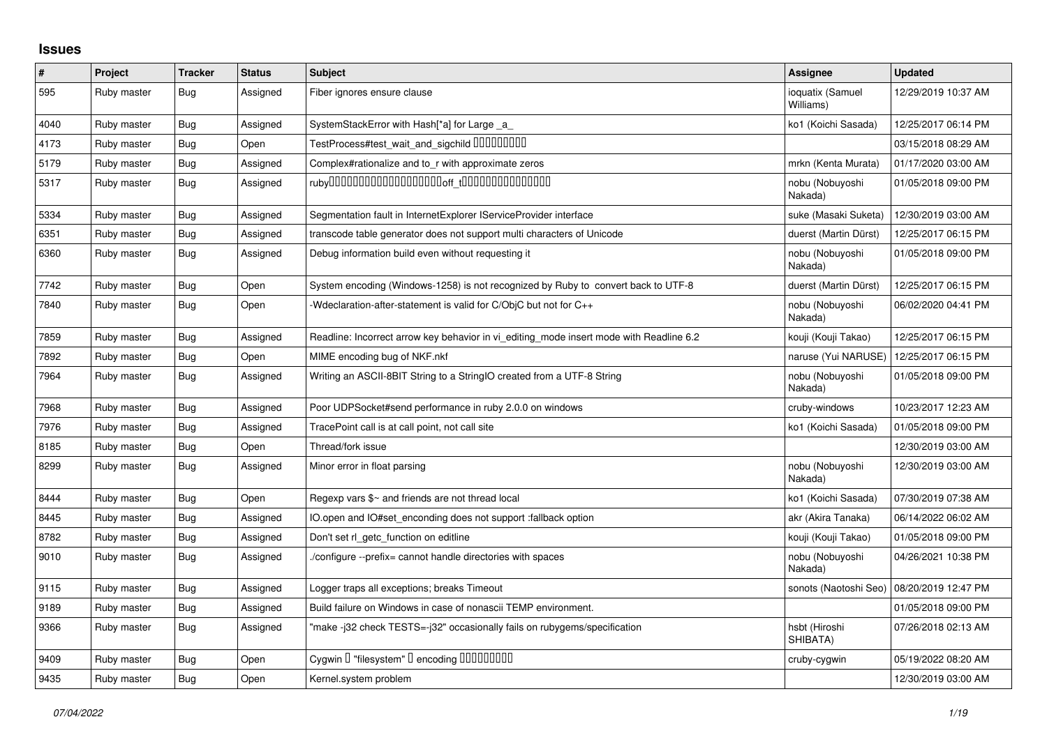## **Issues**

| $\vert$ # | Project     | <b>Tracker</b> | <b>Status</b> | <b>Subject</b>                                                                          | <b>Assignee</b>               | <b>Updated</b>      |
|-----------|-------------|----------------|---------------|-----------------------------------------------------------------------------------------|-------------------------------|---------------------|
| 595       | Ruby master | <b>Bug</b>     | Assigned      | Fiber ignores ensure clause                                                             | ioquatix (Samuel<br>Williams) | 12/29/2019 10:37 AM |
| 4040      | Ruby master | <b>Bug</b>     | Assigned      | SystemStackError with Hash[*a] for Large _a_                                            | ko1 (Koichi Sasada)           | 12/25/2017 06:14 PM |
| 4173      | Ruby master | <b>Bug</b>     | Open          | TestProcess#test_wait_and_sigchild DDDDDDDD                                             |                               | 03/15/2018 08:29 AM |
| 5179      | Ruby master | <b>Bug</b>     | Assigned      | Complex#rationalize and to_r with approximate zeros                                     | mrkn (Kenta Murata)           | 01/17/2020 03:00 AM |
| 5317      | Ruby master | <b>Bug</b>     | Assigned      |                                                                                         | nobu (Nobuyoshi<br>Nakada)    | 01/05/2018 09:00 PM |
| 5334      | Ruby master | <b>Bug</b>     | Assigned      | Segmentation fault in InternetExplorer IServiceProvider interface                       | suke (Masaki Suketa)          | 12/30/2019 03:00 AM |
| 6351      | Ruby master | <b>Bug</b>     | Assigned      | transcode table generator does not support multi characters of Unicode                  | duerst (Martin Dürst)         | 12/25/2017 06:15 PM |
| 6360      | Ruby master | <b>Bug</b>     | Assigned      | Debug information build even without requesting it                                      | nobu (Nobuyoshi<br>Nakada)    | 01/05/2018 09:00 PM |
| 7742      | Ruby master | <b>Bug</b>     | Open          | System encoding (Windows-1258) is not recognized by Ruby to convert back to UTF-8       | duerst (Martin Dürst)         | 12/25/2017 06:15 PM |
| 7840      | Ruby master | <b>Bug</b>     | Open          | Wedclaration-after-statement is valid for C/ObjC but not for C++                        | nobu (Nobuyoshi<br>Nakada)    | 06/02/2020 04:41 PM |
| 7859      | Ruby master | Bug            | Assigned      | Readline: Incorrect arrow key behavior in vi editing mode insert mode with Readline 6.2 | kouji (Kouji Takao)           | 12/25/2017 06:15 PM |
| 7892      | Ruby master | <b>Bug</b>     | Open          | MIME encoding bug of NKF.nkf                                                            | naruse (Yui NARUSE)           | 12/25/2017 06:15 PM |
| 7964      | Ruby master | <b>Bug</b>     | Assigned      | Writing an ASCII-8BIT String to a StringIO created from a UTF-8 String                  | nobu (Nobuyoshi<br>Nakada)    | 01/05/2018 09:00 PM |
| 7968      | Ruby master | <b>Bug</b>     | Assigned      | Poor UDPSocket#send performance in ruby 2.0.0 on windows                                | cruby-windows                 | 10/23/2017 12:23 AM |
| 7976      | Ruby master | Bug            | Assigned      | TracePoint call is at call point, not call site                                         | ko1 (Koichi Sasada)           | 01/05/2018 09:00 PM |
| 8185      | Ruby master | Bug            | Open          | Thread/fork issue                                                                       |                               | 12/30/2019 03:00 AM |
| 8299      | Ruby master | <b>Bug</b>     | Assigned      | Minor error in float parsing                                                            | nobu (Nobuyoshi<br>Nakada)    | 12/30/2019 03:00 AM |
| 8444      | Ruby master | Bug            | Open          | Regexp vars \$~ and friends are not thread local                                        | ko1 (Koichi Sasada)           | 07/30/2019 07:38 AM |
| 8445      | Ruby master | <b>Bug</b>     | Assigned      | IO.open and IO#set enconding does not support :fallback option                          | akr (Akira Tanaka)            | 06/14/2022 06:02 AM |
| 8782      | Ruby master | <b>Bug</b>     | Assigned      | Don't set rl_getc_function on editline                                                  | kouji (Kouji Takao)           | 01/05/2018 09:00 PM |
| 9010      | Ruby master | <b>Bug</b>     | Assigned      | /configure --prefix= cannot handle directories with spaces                              | nobu (Nobuyoshi<br>Nakada)    | 04/26/2021 10:38 PM |
| 9115      | Ruby master | <b>Bug</b>     | Assigned      | Logger traps all exceptions; breaks Timeout                                             | sonots (Naotoshi Seo)         | 08/20/2019 12:47 PM |
| 9189      | Ruby master | <b>Bug</b>     | Assigned      | Build failure on Windows in case of nonascii TEMP environment.                          |                               | 01/05/2018 09:00 PM |
| 9366      | Ruby master | Bug            | Assigned      | "make -j32 check TESTS=-j32" occasionally fails on rubygems/specification               | hsbt (Hiroshi<br>SHIBATA)     | 07/26/2018 02:13 AM |
| 9409      | Ruby master | <b>Bug</b>     | Open          | Cygwin I "filesystem" I encoding IIIIIIIIIIIII                                          | cruby-cygwin                  | 05/19/2022 08:20 AM |
| 9435      | Ruby master | <b>Bug</b>     | Open          | Kernel.system problem                                                                   |                               | 12/30/2019 03:00 AM |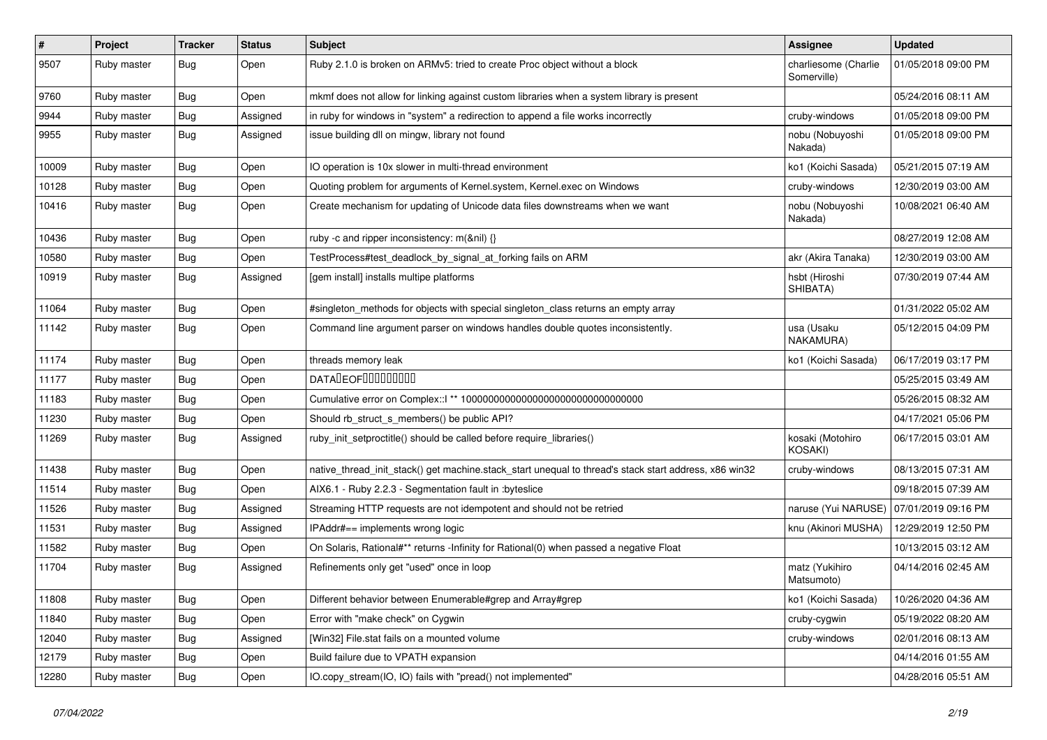| $\sharp$ | Project     | <b>Tracker</b> | <b>Status</b> | Subject                                                                                               | <b>Assignee</b>                     | <b>Updated</b>      |
|----------|-------------|----------------|---------------|-------------------------------------------------------------------------------------------------------|-------------------------------------|---------------------|
| 9507     | Ruby master | Bug            | Open          | Ruby 2.1.0 is broken on ARMv5: tried to create Proc object without a block                            | charliesome (Charlie<br>Somerville) | 01/05/2018 09:00 PM |
| 9760     | Ruby master | Bug            | Open          | mkmf does not allow for linking against custom libraries when a system library is present             |                                     | 05/24/2016 08:11 AM |
| 9944     | Ruby master | <b>Bug</b>     | Assigned      | in ruby for windows in "system" a redirection to append a file works incorrectly                      | cruby-windows                       | 01/05/2018 09:00 PM |
| 9955     | Ruby master | <b>Bug</b>     | Assigned      | issue building dll on mingw, library not found                                                        | nobu (Nobuyoshi<br>Nakada)          | 01/05/2018 09:00 PM |
| 10009    | Ruby master | <b>Bug</b>     | Open          | IO operation is 10x slower in multi-thread environment                                                | ko1 (Koichi Sasada)                 | 05/21/2015 07:19 AM |
| 10128    | Ruby master | <b>Bug</b>     | Open          | Quoting problem for arguments of Kernel.system, Kernel.exec on Windows                                | cruby-windows                       | 12/30/2019 03:00 AM |
| 10416    | Ruby master | Bug            | Open          | Create mechanism for updating of Unicode data files downstreams when we want                          | nobu (Nobuyoshi<br>Nakada)          | 10/08/2021 06:40 AM |
| 10436    | Ruby master | <b>Bug</b>     | Open          | ruby -c and ripper inconsistency: m(&nil) {}                                                          |                                     | 08/27/2019 12:08 AM |
| 10580    | Ruby master | <b>Bug</b>     | Open          | TestProcess#test_deadlock_by_signal_at_forking fails on ARM                                           | akr (Akira Tanaka)                  | 12/30/2019 03:00 AM |
| 10919    | Ruby master | <b>Bug</b>     | Assigned      | [gem install] installs multipe platforms                                                              | hsbt (Hiroshi<br>SHIBATA)           | 07/30/2019 07:44 AM |
| 11064    | Ruby master | <b>Bug</b>     | Open          | #singleton_methods for objects with special singleton_class returns an empty array                    |                                     | 01/31/2022 05:02 AM |
| 11142    | Ruby master | <b>Bug</b>     | Open          | Command line argument parser on windows handles double quotes inconsistently.                         | usa (Usaku<br>NAKAMURA)             | 05/12/2015 04:09 PM |
| 11174    | Ruby master | <b>Bug</b>     | Open          | threads memory leak                                                                                   | ko1 (Koichi Sasada)                 | 06/17/2019 03:17 PM |
| 11177    | Ruby master | Bug            | Open          | <b>DATALEOFILILILILILILI</b>                                                                          |                                     | 05/25/2015 03:49 AM |
| 11183    | Ruby master | <b>Bug</b>     | Open          | Cumulative error on Complex::   ** 100000000000000000000000000000000                                  |                                     | 05/26/2015 08:32 AM |
| 11230    | Ruby master | <b>Bug</b>     | Open          | Should rb_struct_s_members() be public API?                                                           |                                     | 04/17/2021 05:06 PM |
| 11269    | Ruby master | Bug            | Assigned      | ruby_init_setproctitle() should be called before require_libraries()                                  | kosaki (Motohiro<br>KOSAKI)         | 06/17/2015 03:01 AM |
| 11438    | Ruby master | <b>Bug</b>     | Open          | native_thread_init_stack() get machine.stack_start unequal to thread's stack start address, x86 win32 | cruby-windows                       | 08/13/2015 07:31 AM |
| 11514    | Ruby master | <b>Bug</b>     | Open          | AIX6.1 - Ruby 2.2.3 - Segmentation fault in :byteslice                                                |                                     | 09/18/2015 07:39 AM |
| 11526    | Ruby master | <b>Bug</b>     | Assigned      | Streaming HTTP requests are not idempotent and should not be retried                                  | naruse (Yui NARUSE)                 | 07/01/2019 09:16 PM |
| 11531    | Ruby master | <b>Bug</b>     | Assigned      | IPAddr#== implements wrong logic                                                                      | knu (Akinori MUSHA)                 | 12/29/2019 12:50 PM |
| 11582    | Ruby master | Bug            | Open          | On Solaris, Rational#** returns -Infinity for Rational(0) when passed a negative Float                |                                     | 10/13/2015 03:12 AM |
| 11704    | Ruby master | <b>Bug</b>     | Assigned      | Refinements only get "used" once in loop                                                              | matz (Yukihiro<br>Matsumoto)        | 04/14/2016 02:45 AM |
| 11808    | Ruby master | <b>Bug</b>     | Open          | Different behavior between Enumerable#grep and Array#grep                                             | ko1 (Koichi Sasada)                 | 10/26/2020 04:36 AM |
| 11840    | Ruby master | Bug            | Open          | Error with "make check" on Cygwin                                                                     | cruby-cygwin                        | 05/19/2022 08:20 AM |
| 12040    | Ruby master | Bug            | Assigned      | [Win32] File.stat fails on a mounted volume                                                           | cruby-windows                       | 02/01/2016 08:13 AM |
| 12179    | Ruby master | <b>Bug</b>     | Open          | Build failure due to VPATH expansion                                                                  |                                     | 04/14/2016 01:55 AM |
| 12280    | Ruby master | <b>Bug</b>     | Open          | IO.copy_stream(IO, IO) fails with "pread() not implemented"                                           |                                     | 04/28/2016 05:51 AM |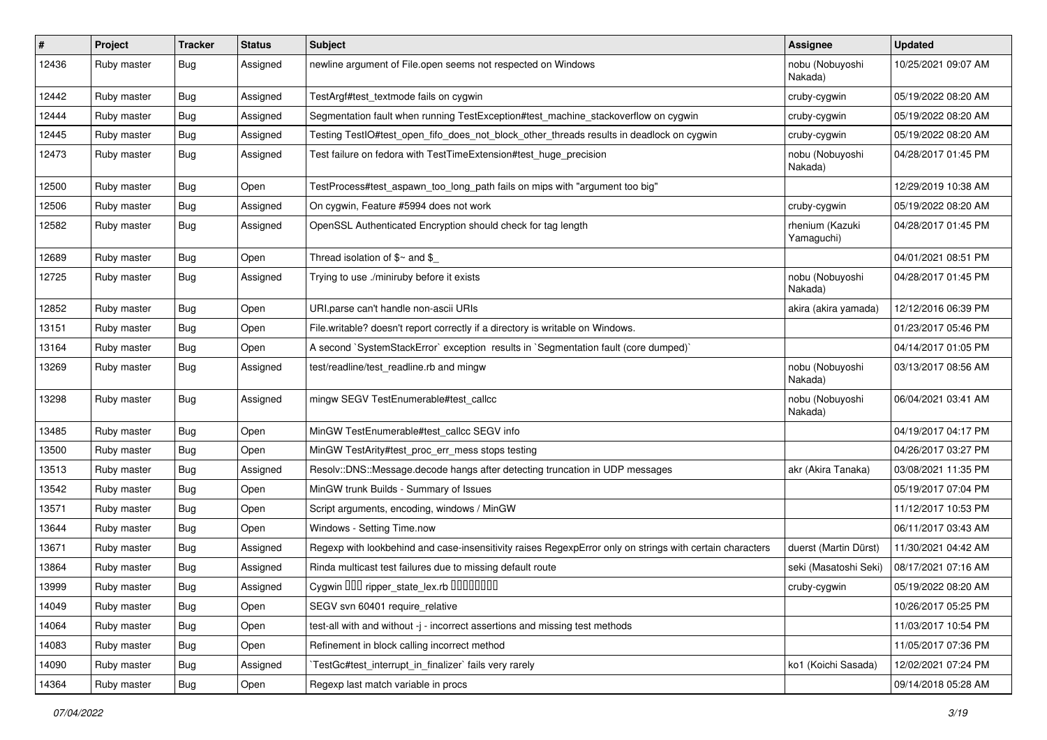| $\sharp$ | Project     | <b>Tracker</b>   | <b>Status</b> | Subject                                                                                                  | <b>Assignee</b>               | <b>Updated</b>      |
|----------|-------------|------------------|---------------|----------------------------------------------------------------------------------------------------------|-------------------------------|---------------------|
| 12436    | Ruby master | Bug              | Assigned      | newline argument of File.open seems not respected on Windows                                             | nobu (Nobuyoshi<br>Nakada)    | 10/25/2021 09:07 AM |
| 12442    | Ruby master | <b>Bug</b>       | Assigned      | TestArgf#test textmode fails on cygwin                                                                   | cruby-cygwin                  | 05/19/2022 08:20 AM |
| 12444    | Ruby master | Bug              | Assigned      | Segmentation fault when running TestException#test_machine_stackoverflow on cygwin                       | cruby-cygwin                  | 05/19/2022 08:20 AM |
| 12445    | Ruby master | <b>Bug</b>       | Assigned      | Testing TestIO#test_open_fifo_does_not_block_other_threads results in deadlock on cygwin                 | cruby-cygwin                  | 05/19/2022 08:20 AM |
| 12473    | Ruby master | <b>Bug</b>       | Assigned      | Test failure on fedora with TestTimeExtension#test_huge_precision                                        | nobu (Nobuyoshi<br>Nakada)    | 04/28/2017 01:45 PM |
| 12500    | Ruby master | Bug              | Open          | TestProcess#test_aspawn_too_long_path fails on mips with "argument too big"                              |                               | 12/29/2019 10:38 AM |
| 12506    | Ruby master | Bug              | Assigned      | On cygwin, Feature #5994 does not work                                                                   | cruby-cygwin                  | 05/19/2022 08:20 AM |
| 12582    | Ruby master | Bug              | Assigned      | OpenSSL Authenticated Encryption should check for tag length                                             | rhenium (Kazuki<br>Yamaguchi) | 04/28/2017 01:45 PM |
| 12689    | Ruby master | <b>Bug</b>       | Open          | Thread isolation of $$~$ and $$$                                                                         |                               | 04/01/2021 08:51 PM |
| 12725    | Ruby master | Bug              | Assigned      | Trying to use ./miniruby before it exists                                                                | nobu (Nobuyoshi<br>Nakada)    | 04/28/2017 01:45 PM |
| 12852    | Ruby master | Bug              | Open          | URI.parse can't handle non-ascii URIs                                                                    | akira (akira yamada)          | 12/12/2016 06:39 PM |
| 13151    | Ruby master | <b>Bug</b>       | Open          | File.writable? doesn't report correctly if a directory is writable on Windows.                           |                               | 01/23/2017 05:46 PM |
| 13164    | Ruby master | Bug              | Open          | A second `SystemStackError` exception results in `Segmentation fault (core dumped)`                      |                               | 04/14/2017 01:05 PM |
| 13269    | Ruby master | <b>Bug</b>       | Assigned      | test/readline/test_readline.rb and mingw                                                                 | nobu (Nobuyoshi<br>Nakada)    | 03/13/2017 08:56 AM |
| 13298    | Ruby master | Bug              | Assigned      | mingw SEGV TestEnumerable#test_callcc                                                                    | nobu (Nobuyoshi<br>Nakada)    | 06/04/2021 03:41 AM |
| 13485    | Ruby master | Bug              | Open          | MinGW TestEnumerable#test_callcc SEGV info                                                               |                               | 04/19/2017 04:17 PM |
| 13500    | Ruby master | <b>Bug</b>       | Open          | MinGW TestArity#test_proc_err_mess stops testing                                                         |                               | 04/26/2017 03:27 PM |
| 13513    | Ruby master | <b>Bug</b>       | Assigned      | Resolv::DNS::Message.decode hangs after detecting truncation in UDP messages                             | akr (Akira Tanaka)            | 03/08/2021 11:35 PM |
| 13542    | Ruby master | <b>Bug</b>       | Open          | MinGW trunk Builds - Summary of Issues                                                                   |                               | 05/19/2017 07:04 PM |
| 13571    | Ruby master | <b>Bug</b>       | Open          | Script arguments, encoding, windows / MinGW                                                              |                               | 11/12/2017 10:53 PM |
| 13644    | Ruby master | <b>Bug</b>       | Open          | Windows - Setting Time.now                                                                               |                               | 06/11/2017 03:43 AM |
| 13671    | Ruby master | Bug              | Assigned      | Regexp with lookbehind and case-insensitivity raises RegexpError only on strings with certain characters | duerst (Martin Dürst)         | 11/30/2021 04:42 AM |
| 13864    | Ruby master | <b>Bug</b>       | Assigned      | Rinda multicast test failures due to missing default route                                               | seki (Masatoshi Seki)         | 08/17/2021 07:16 AM |
| 13999    | Ruby master | <sub>I</sub> Bug | Assigned      | Cygwin 000 ripper_state_lex.rb 0000000                                                                   | cruby-cygwin                  | 05/19/2022 08:20 AM |
| 14049    | Ruby master | Bug              | Open          | SEGV svn 60401 require relative                                                                          |                               | 10/26/2017 05:25 PM |
| 14064    | Ruby master | <b>Bug</b>       | Open          | test-all with and without -j - incorrect assertions and missing test methods                             |                               | 11/03/2017 10:54 PM |
| 14083    | Ruby master | <b>Bug</b>       | Open          | Refinement in block calling incorrect method                                                             |                               | 11/05/2017 07:36 PM |
| 14090    | Ruby master | Bug              | Assigned      | TestGc#test_interrupt_in_finalizer` fails very rarely                                                    | ko1 (Koichi Sasada)           | 12/02/2021 07:24 PM |
| 14364    | Ruby master | <b>Bug</b>       | Open          | Regexp last match variable in procs                                                                      |                               | 09/14/2018 05:28 AM |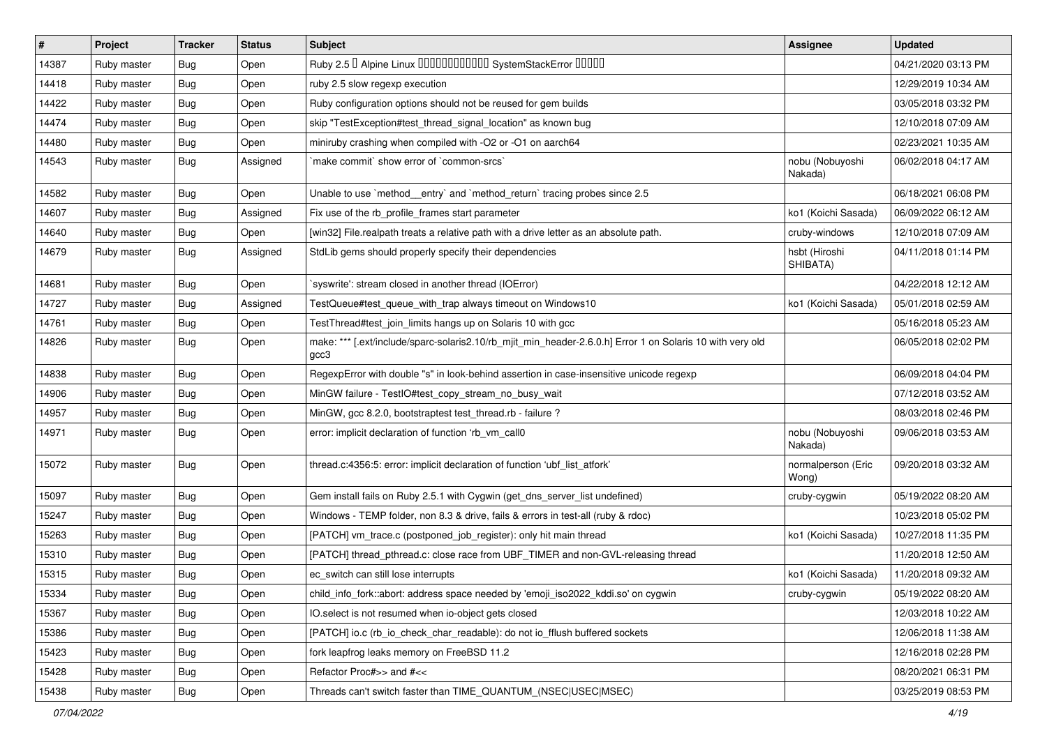| $\vert$ # | Project     | <b>Tracker</b> | <b>Status</b> | <b>Subject</b>                                                                                                    | Assignee                    | <b>Updated</b>      |
|-----------|-------------|----------------|---------------|-------------------------------------------------------------------------------------------------------------------|-----------------------------|---------------------|
| 14387     | Ruby master | Bug            | Open          | Ruby 2.5 <sup>0</sup> Alpine Linux 000000000000 SystemStackError 00000                                            |                             | 04/21/2020 03:13 PM |
| 14418     | Ruby master | Bug            | Open          | ruby 2.5 slow regexp execution                                                                                    |                             | 12/29/2019 10:34 AM |
| 14422     | Ruby master | <b>Bug</b>     | Open          | Ruby configuration options should not be reused for gem builds                                                    |                             | 03/05/2018 03:32 PM |
| 14474     | Ruby master | <b>Bug</b>     | Open          | skip "TestException#test_thread_signal_location" as known bug                                                     |                             | 12/10/2018 07:09 AM |
| 14480     | Ruby master | Bug            | Open          | miniruby crashing when compiled with -O2 or -O1 on aarch64                                                        |                             | 02/23/2021 10:35 AM |
| 14543     | Ruby master | Bug            | Assigned      | make commit' show error of 'common-srcs'                                                                          | nobu (Nobuyoshi<br>Nakada)  | 06/02/2018 04:17 AM |
| 14582     | Ruby master | Bug            | Open          | Unable to use `method_entry` and `method_return` tracing probes since 2.5                                         |                             | 06/18/2021 06:08 PM |
| 14607     | Ruby master | Bug            | Assigned      | Fix use of the rb_profile_frames start parameter                                                                  | ko1 (Koichi Sasada)         | 06/09/2022 06:12 AM |
| 14640     | Ruby master | <b>Bug</b>     | Open          | [win32] File.realpath treats a relative path with a drive letter as an absolute path.                             | cruby-windows               | 12/10/2018 07:09 AM |
| 14679     | Ruby master | Bug            | Assigned      | StdLib gems should properly specify their dependencies                                                            | hsbt (Hiroshi<br>SHIBATA)   | 04/11/2018 01:14 PM |
| 14681     | Ruby master | Bug            | Open          | 'syswrite': stream closed in another thread (IOError)                                                             |                             | 04/22/2018 12:12 AM |
| 14727     | Ruby master | Bug            | Assigned      | TestQueue#test_queue_with_trap always timeout on Windows10                                                        | ko1 (Koichi Sasada)         | 05/01/2018 02:59 AM |
| 14761     | Ruby master | Bug            | Open          | TestThread#test_join_limits hangs up on Solaris 10 with gcc                                                       |                             | 05/16/2018 05:23 AM |
| 14826     | Ruby master | Bug            | Open          | make: *** [.ext/include/sparc-solaris2.10/rb_mjit_min_header-2.6.0.h] Error 1 on Solaris 10 with very old<br>gcc3 |                             | 06/05/2018 02:02 PM |
| 14838     | Ruby master | Bug            | Open          | RegexpError with double "s" in look-behind assertion in case-insensitive unicode regexp                           |                             | 06/09/2018 04:04 PM |
| 14906     | Ruby master | Bug            | Open          | MinGW failure - TestIO#test_copy_stream_no_busy_wait                                                              |                             | 07/12/2018 03:52 AM |
| 14957     | Ruby master | <b>Bug</b>     | Open          | MinGW, gcc 8.2.0, bootstraptest test_thread.rb - failure ?                                                        |                             | 08/03/2018 02:46 PM |
| 14971     | Ruby master | Bug            | Open          | error: implicit declaration of function 'rb_vm_call0                                                              | nobu (Nobuyoshi<br>Nakada)  | 09/06/2018 03:53 AM |
| 15072     | Ruby master | Bug            | Open          | thread.c:4356:5: error: implicit declaration of function 'ubf_list_atfork'                                        | normalperson (Eric<br>Wong) | 09/20/2018 03:32 AM |
| 15097     | Ruby master | Bug            | Open          | Gem install fails on Ruby 2.5.1 with Cygwin (get_dns_server_list undefined)                                       | cruby-cygwin                | 05/19/2022 08:20 AM |
| 15247     | Ruby master | Bug            | Open          | Windows - TEMP folder, non 8.3 & drive, fails & errors in test-all (ruby & rdoc)                                  |                             | 10/23/2018 05:02 PM |
| 15263     | Ruby master | Bug            | Open          | [PATCH] vm_trace.c (postponed_job_register): only hit main thread                                                 | ko1 (Koichi Sasada)         | 10/27/2018 11:35 PM |
| 15310     | Ruby master | <b>Bug</b>     | Open          | [PATCH] thread_pthread.c: close race from UBF_TIMER and non-GVL-releasing thread                                  |                             | 11/20/2018 12:50 AM |
| 15315     | Ruby master | Bug            | Open          | ec_switch can still lose interrupts                                                                               | ko1 (Koichi Sasada)         | 11/20/2018 09:32 AM |
| 15334     | Ruby master | Bug            | Open          | child_info_fork::abort: address space needed by 'emoji_iso2022_kddi.so' on cygwin                                 | cruby-cygwin                | 05/19/2022 08:20 AM |
| 15367     | Ruby master | <b>Bug</b>     | Open          | IO.select is not resumed when io-object gets closed                                                               |                             | 12/03/2018 10:22 AM |
| 15386     | Ruby master | <b>Bug</b>     | Open          | [PATCH] io.c (rb io check char readable): do not io fflush buffered sockets                                       |                             | 12/06/2018 11:38 AM |
| 15423     | Ruby master | <b>Bug</b>     | Open          | fork leapfrog leaks memory on FreeBSD 11.2                                                                        |                             | 12/16/2018 02:28 PM |
| 15428     | Ruby master | <b>Bug</b>     | Open          | Refactor Proc#>> and #<<                                                                                          |                             | 08/20/2021 06:31 PM |
| 15438     | Ruby master | Bug            | Open          | Threads can't switch faster than TIME QUANTUM (NSEC USEC MSEC)                                                    |                             | 03/25/2019 08:53 PM |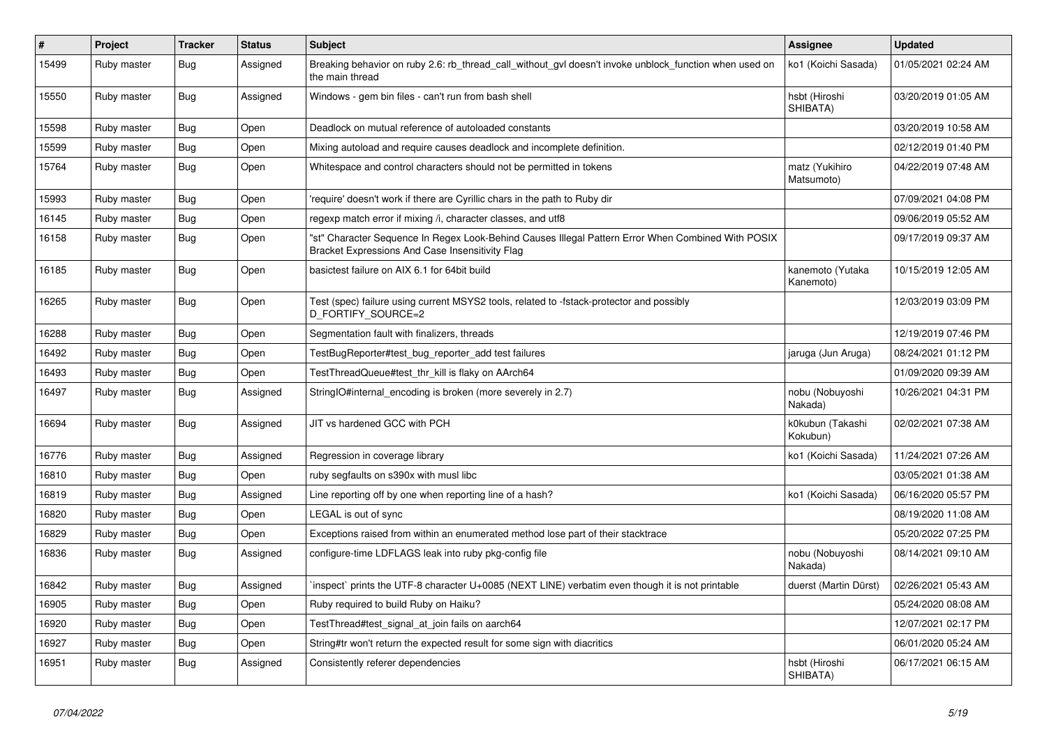| $\vert$ # | Project     | <b>Tracker</b> | <b>Status</b> | <b>Subject</b>                                                                                                                                        | <b>Assignee</b>               | <b>Updated</b>      |
|-----------|-------------|----------------|---------------|-------------------------------------------------------------------------------------------------------------------------------------------------------|-------------------------------|---------------------|
| 15499     | Ruby master | Bug            | Assigned      | Breaking behavior on ruby 2.6: rb thread call without gyl doesn't invoke unblock function when used on<br>the main thread                             | ko1 (Koichi Sasada)           | 01/05/2021 02:24 AM |
| 15550     | Ruby master | <b>Bug</b>     | Assigned      | Windows - gem bin files - can't run from bash shell                                                                                                   | hsbt (Hiroshi<br>SHIBATA)     | 03/20/2019 01:05 AM |
| 15598     | Ruby master | <b>Bug</b>     | Open          | Deadlock on mutual reference of autoloaded constants                                                                                                  |                               | 03/20/2019 10:58 AM |
| 15599     | Ruby master | <b>Bug</b>     | Open          | Mixing autoload and require causes deadlock and incomplete definition.                                                                                |                               | 02/12/2019 01:40 PM |
| 15764     | Ruby master | <b>Bug</b>     | Open          | Whitespace and control characters should not be permitted in tokens                                                                                   | matz (Yukihiro<br>Matsumoto)  | 04/22/2019 07:48 AM |
| 15993     | Ruby master | <b>Bug</b>     | Open          | require' doesn't work if there are Cyrillic chars in the path to Ruby dir                                                                             |                               | 07/09/2021 04:08 PM |
| 16145     | Ruby master | Bug            | Open          | regexp match error if mixing /i, character classes, and utf8                                                                                          |                               | 09/06/2019 05:52 AM |
| 16158     | Ruby master | Bug            | Open          | 'st" Character Sequence In Regex Look-Behind Causes Illegal Pattern Error When Combined With POSIX<br>Bracket Expressions And Case Insensitivity Flag |                               | 09/17/2019 09:37 AM |
| 16185     | Ruby master | <b>Bug</b>     | Open          | basictest failure on AIX 6.1 for 64bit build                                                                                                          | kanemoto (Yutaka<br>Kanemoto) | 10/15/2019 12:05 AM |
| 16265     | Ruby master | Bug            | Open          | Test (spec) failure using current MSYS2 tools, related to -fstack-protector and possibly<br>D_FORTIFY_SOURCE=2                                        |                               | 12/03/2019 03:09 PM |
| 16288     | Ruby master | <b>Bug</b>     | Open          | Segmentation fault with finalizers, threads                                                                                                           |                               | 12/19/2019 07:46 PM |
| 16492     | Ruby master | Bug            | Open          | TestBugReporter#test_bug_reporter_add test failures                                                                                                   | jaruga (Jun Aruga)            | 08/24/2021 01:12 PM |
| 16493     | Ruby master | Bug            | Open          | TestThreadQueue#test thr kill is flaky on AArch64                                                                                                     |                               | 01/09/2020 09:39 AM |
| 16497     | Ruby master | <b>Bug</b>     | Assigned      | StringIO#internal_encoding is broken (more severely in 2.7)                                                                                           | nobu (Nobuyoshi<br>Nakada)    | 10/26/2021 04:31 PM |
| 16694     | Ruby master | Bug            | Assigned      | JIT vs hardened GCC with PCH                                                                                                                          | k0kubun (Takashi<br>Kokubun)  | 02/02/2021 07:38 AM |
| 16776     | Ruby master | Bug            | Assigned      | Regression in coverage library                                                                                                                        | ko1 (Koichi Sasada)           | 11/24/2021 07:26 AM |
| 16810     | Ruby master | Bug            | Open          | ruby segfaults on s390x with musl libc                                                                                                                |                               | 03/05/2021 01:38 AM |
| 16819     | Ruby master | <b>Bug</b>     | Assigned      | Line reporting off by one when reporting line of a hash?                                                                                              | ko1 (Koichi Sasada)           | 06/16/2020 05:57 PM |
| 16820     | Ruby master | <b>Bug</b>     | Open          | LEGAL is out of sync                                                                                                                                  |                               | 08/19/2020 11:08 AM |
| 16829     | Ruby master | Bug            | Open          | Exceptions raised from within an enumerated method lose part of their stacktrace                                                                      |                               | 05/20/2022 07:25 PM |
| 16836     | Ruby master | <b>Bug</b>     | Assigned      | configure-time LDFLAGS leak into ruby pkg-config file                                                                                                 | nobu (Nobuyoshi<br>Nakada)    | 08/14/2021 09:10 AM |
| 16842     | Ruby master | Bug            | Assigned      | inspect` prints the UTF-8 character U+0085 (NEXT LINE) verbatim even though it is not printable                                                       | duerst (Martin Dürst)         | 02/26/2021 05:43 AM |
| 16905     | Ruby master | Bug            | Open          | Ruby required to build Ruby on Haiku?                                                                                                                 |                               | 05/24/2020 08:08 AM |
| 16920     | Ruby master | Bug            | Open          | TestThread#test_signal_at_join fails on aarch64                                                                                                       |                               | 12/07/2021 02:17 PM |
| 16927     | Ruby master | <b>Bug</b>     | Open          | String#tr won't return the expected result for some sign with diacritics                                                                              |                               | 06/01/2020 05:24 AM |
| 16951     | Ruby master | Bug            | Assigned      | Consistently referer dependencies                                                                                                                     | hsbt (Hiroshi<br>SHIBATA)     | 06/17/2021 06:15 AM |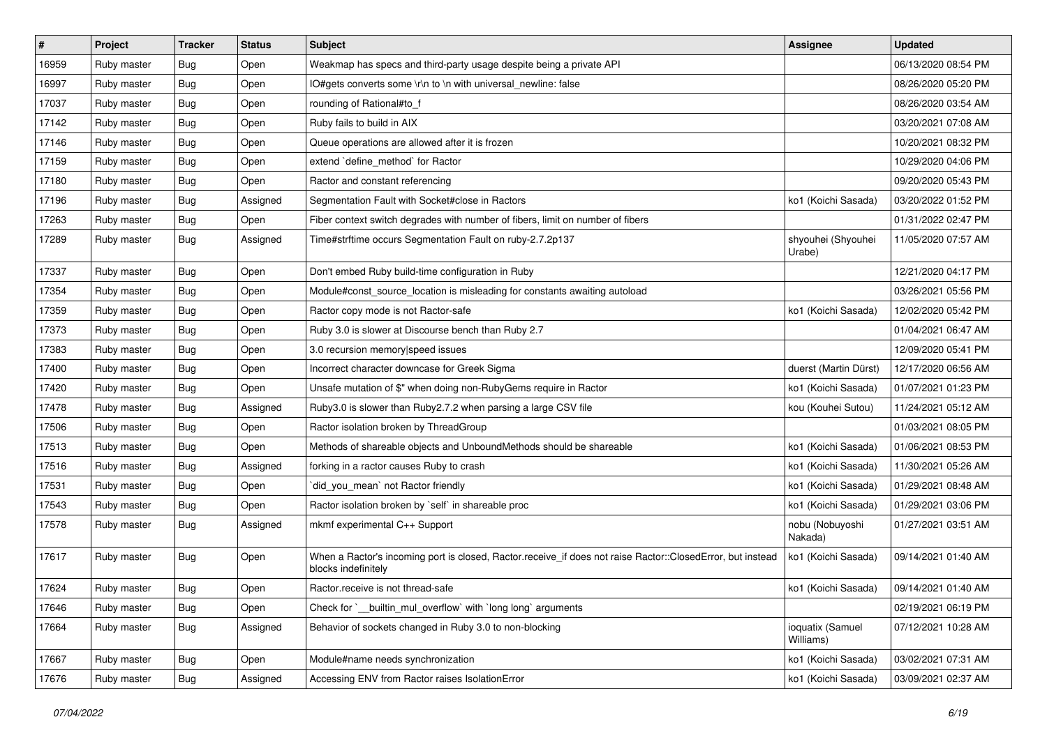| #     | Project     | <b>Tracker</b> | <b>Status</b> | Subject                                                                                                                           | <b>Assignee</b>               | <b>Updated</b>      |
|-------|-------------|----------------|---------------|-----------------------------------------------------------------------------------------------------------------------------------|-------------------------------|---------------------|
| 16959 | Ruby master | Bug            | Open          | Weakmap has specs and third-party usage despite being a private API                                                               |                               | 06/13/2020 08:54 PM |
| 16997 | Ruby master | <b>Bug</b>     | Open          | IO#gets converts some \r\n to \n with universal_newline: false                                                                    |                               | 08/26/2020 05:20 PM |
| 17037 | Ruby master | <b>Bug</b>     | Open          | rounding of Rational#to_f                                                                                                         |                               | 08/26/2020 03:54 AM |
| 17142 | Ruby master | <b>Bug</b>     | Open          | Ruby fails to build in AIX                                                                                                        |                               | 03/20/2021 07:08 AM |
| 17146 | Ruby master | <b>Bug</b>     | Open          | Queue operations are allowed after it is frozen                                                                                   |                               | 10/20/2021 08:32 PM |
| 17159 | Ruby master | <b>Bug</b>     | Open          | extend `define_method` for Ractor                                                                                                 |                               | 10/29/2020 04:06 PM |
| 17180 | Ruby master | <b>Bug</b>     | Open          | Ractor and constant referencing                                                                                                   |                               | 09/20/2020 05:43 PM |
| 17196 | Ruby master | Bug            | Assigned      | Segmentation Fault with Socket#close in Ractors                                                                                   | ko1 (Koichi Sasada)           | 03/20/2022 01:52 PM |
| 17263 | Ruby master | Bug            | Open          | Fiber context switch degrades with number of fibers, limit on number of fibers                                                    |                               | 01/31/2022 02:47 PM |
| 17289 | Ruby master | <b>Bug</b>     | Assigned      | Time#strftime occurs Segmentation Fault on ruby-2.7.2p137                                                                         | shyouhei (Shyouhei<br>Urabe)  | 11/05/2020 07:57 AM |
| 17337 | Ruby master | <b>Bug</b>     | Open          | Don't embed Ruby build-time configuration in Ruby                                                                                 |                               | 12/21/2020 04:17 PM |
| 17354 | Ruby master | <b>Bug</b>     | Open          | Module#const_source_location is misleading for constants awaiting autoload                                                        |                               | 03/26/2021 05:56 PM |
| 17359 | Ruby master | <b>Bug</b>     | Open          | Ractor copy mode is not Ractor-safe                                                                                               | ko1 (Koichi Sasada)           | 12/02/2020 05:42 PM |
| 17373 | Ruby master | Bug            | Open          | Ruby 3.0 is slower at Discourse bench than Ruby 2.7                                                                               |                               | 01/04/2021 06:47 AM |
| 17383 | Ruby master | <b>Bug</b>     | Open          | 3.0 recursion memory speed issues                                                                                                 |                               | 12/09/2020 05:41 PM |
| 17400 | Ruby master | Bug            | Open          | Incorrect character downcase for Greek Sigma                                                                                      | duerst (Martin Dürst)         | 12/17/2020 06:56 AM |
| 17420 | Ruby master | <b>Bug</b>     | Open          | Unsafe mutation of \$" when doing non-RubyGems require in Ractor                                                                  | ko1 (Koichi Sasada)           | 01/07/2021 01:23 PM |
| 17478 | Ruby master | <b>Bug</b>     | Assigned      | Ruby3.0 is slower than Ruby2.7.2 when parsing a large CSV file                                                                    | kou (Kouhei Sutou)            | 11/24/2021 05:12 AM |
| 17506 | Ruby master | <b>Bug</b>     | Open          | Ractor isolation broken by ThreadGroup                                                                                            |                               | 01/03/2021 08:05 PM |
| 17513 | Ruby master | <b>Bug</b>     | Open          | Methods of shareable objects and UnboundMethods should be shareable                                                               | ko1 (Koichi Sasada)           | 01/06/2021 08:53 PM |
| 17516 | Ruby master | <b>Bug</b>     | Assigned      | forking in a ractor causes Ruby to crash                                                                                          | ko1 (Koichi Sasada)           | 11/30/2021 05:26 AM |
| 17531 | Ruby master | <b>Bug</b>     | Open          | did_you_mean' not Ractor friendly                                                                                                 | ko1 (Koichi Sasada)           | 01/29/2021 08:48 AM |
| 17543 | Ruby master | <b>Bug</b>     | Open          | Ractor isolation broken by `self` in shareable proc                                                                               | ko1 (Koichi Sasada)           | 01/29/2021 03:06 PM |
| 17578 | Ruby master | <b>Bug</b>     | Assigned      | mkmf experimental C++ Support                                                                                                     | nobu (Nobuyoshi<br>Nakada)    | 01/27/2021 03:51 AM |
| 17617 | Ruby master | Bug            | Open          | When a Ractor's incoming port is closed, Ractor.receive_if does not raise Ractor::ClosedError, but instead<br>blocks indefinitely | ko1 (Koichi Sasada)           | 09/14/2021 01:40 AM |
| 17624 | Ruby master | Bug            | Open          | Ractor.receive is not thread-safe                                                                                                 | ko1 (Koichi Sasada)           | 09/14/2021 01:40 AM |
| 17646 | Ruby master | <b>Bug</b>     | Open          | Check for `__builtin_mul_overflow` with `long long` arguments                                                                     |                               | 02/19/2021 06:19 PM |
| 17664 | Ruby master | <b>Bug</b>     | Assigned      | Behavior of sockets changed in Ruby 3.0 to non-blocking                                                                           | ioquatix (Samuel<br>Williams) | 07/12/2021 10:28 AM |
| 17667 | Ruby master | <b>Bug</b>     | Open          | Module#name needs synchronization                                                                                                 | ko1 (Koichi Sasada)           | 03/02/2021 07:31 AM |
| 17676 | Ruby master | <b>Bug</b>     | Assigned      | Accessing ENV from Ractor raises IsolationError                                                                                   | ko1 (Koichi Sasada)           | 03/09/2021 02:37 AM |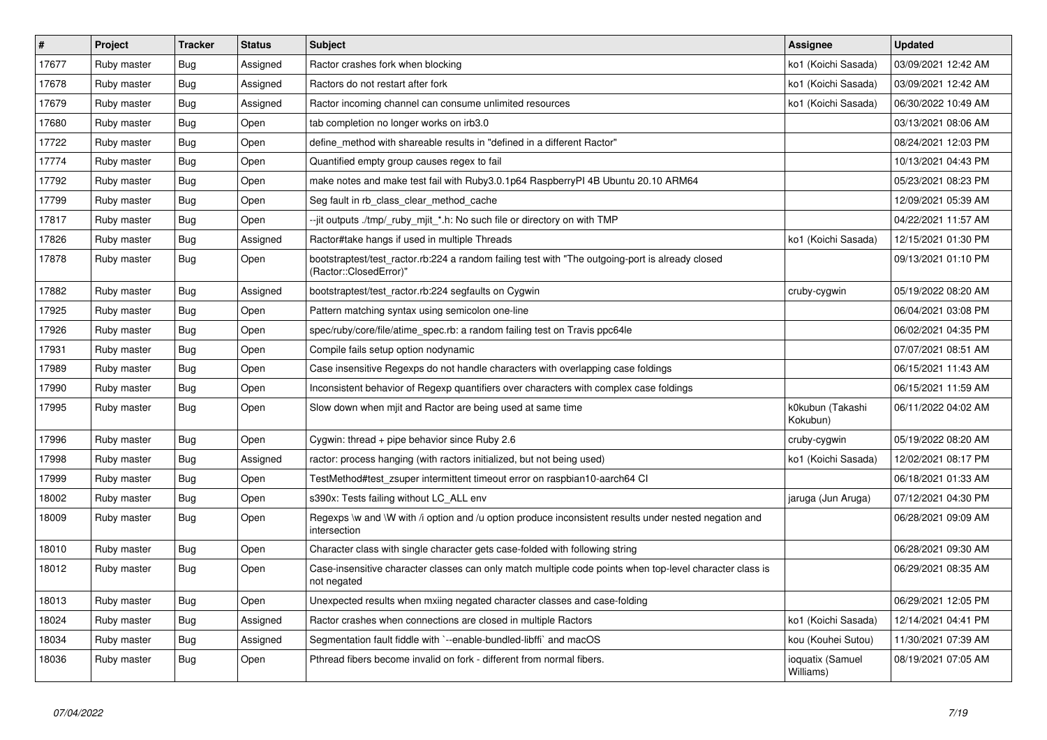| $\sharp$ | Project     | <b>Tracker</b> | <b>Status</b> | <b>Subject</b>                                                                                                             | <b>Assignee</b>               | <b>Updated</b>      |
|----------|-------------|----------------|---------------|----------------------------------------------------------------------------------------------------------------------------|-------------------------------|---------------------|
| 17677    | Ruby master | <b>Bug</b>     | Assigned      | Ractor crashes fork when blocking                                                                                          | ko1 (Koichi Sasada)           | 03/09/2021 12:42 AM |
| 17678    | Ruby master | Bug            | Assigned      | Ractors do not restart after fork                                                                                          | ko1 (Koichi Sasada)           | 03/09/2021 12:42 AM |
| 17679    | Ruby master | <b>Bug</b>     | Assigned      | Ractor incoming channel can consume unlimited resources                                                                    | ko1 (Koichi Sasada)           | 06/30/2022 10:49 AM |
| 17680    | Ruby master | <b>Bug</b>     | Open          | tab completion no longer works on irb3.0                                                                                   |                               | 03/13/2021 08:06 AM |
| 17722    | Ruby master | Bug            | Open          | define method with shareable results in "defined in a different Ractor"                                                    |                               | 08/24/2021 12:03 PM |
| 17774    | Ruby master | <b>Bug</b>     | Open          | Quantified empty group causes regex to fail                                                                                |                               | 10/13/2021 04:43 PM |
| 17792    | Ruby master | <b>Bug</b>     | Open          | make notes and make test fail with Ruby3.0.1p64 RaspberryPI 4B Ubuntu 20.10 ARM64                                          |                               | 05/23/2021 08:23 PM |
| 17799    | Ruby master | <b>Bug</b>     | Open          | Seg fault in rb_class_clear_method_cache                                                                                   |                               | 12/09/2021 05:39 AM |
| 17817    | Ruby master | <b>Bug</b>     | Open          | --jit outputs ./tmp/_ruby_mjit_*.h: No such file or directory on with TMP                                                  |                               | 04/22/2021 11:57 AM |
| 17826    | Ruby master | Bug            | Assigned      | Ractor#take hangs if used in multiple Threads                                                                              | ko1 (Koichi Sasada)           | 12/15/2021 01:30 PM |
| 17878    | Ruby master | <b>Bug</b>     | Open          | bootstraptest/test_ractor.rb:224 a random failing test with "The outgoing-port is already closed<br>(Ractor::ClosedError)" |                               | 09/13/2021 01:10 PM |
| 17882    | Ruby master | <b>Bug</b>     | Assigned      | bootstraptest/test ractor.rb:224 segfaults on Cygwin                                                                       | cruby-cygwin                  | 05/19/2022 08:20 AM |
| 17925    | Ruby master | <b>Bug</b>     | Open          | Pattern matching syntax using semicolon one-line                                                                           |                               | 06/04/2021 03:08 PM |
| 17926    | Ruby master | Bug            | Open          | spec/ruby/core/file/atime_spec.rb: a random failing test on Travis ppc64le                                                 |                               | 06/02/2021 04:35 PM |
| 17931    | Ruby master | Bug            | Open          | Compile fails setup option nodynamic                                                                                       |                               | 07/07/2021 08:51 AM |
| 17989    | Ruby master | <b>Bug</b>     | Open          | Case insensitive Regexps do not handle characters with overlapping case foldings                                           |                               | 06/15/2021 11:43 AM |
| 17990    | Ruby master | <b>Bug</b>     | Open          | Inconsistent behavior of Regexp quantifiers over characters with complex case foldings                                     |                               | 06/15/2021 11:59 AM |
| 17995    | Ruby master | <b>Bug</b>     | Open          | Slow down when mjit and Ractor are being used at same time                                                                 | k0kubun (Takashi<br>Kokubun)  | 06/11/2022 04:02 AM |
| 17996    | Ruby master | <b>Bug</b>     | Open          | Cygwin: thread $+$ pipe behavior since Ruby 2.6                                                                            | cruby-cygwin                  | 05/19/2022 08:20 AM |
| 17998    | Ruby master | <b>Bug</b>     | Assigned      | ractor: process hanging (with ractors initialized, but not being used)                                                     | ko1 (Koichi Sasada)           | 12/02/2021 08:17 PM |
| 17999    | Ruby master | <b>Bug</b>     | Open          | TestMethod#test_zsuper intermittent timeout error on raspbian10-aarch64 CI                                                 |                               | 06/18/2021 01:33 AM |
| 18002    | Ruby master | Bug            | Open          | s390x: Tests failing without LC ALL env                                                                                    | jaruga (Jun Aruga)            | 07/12/2021 04:30 PM |
| 18009    | Ruby master | Bug            | Open          | Regexps \w and \W with /i option and /u option produce inconsistent results under nested negation and<br>intersection      |                               | 06/28/2021 09:09 AM |
| 18010    | Ruby master | Bug            | Open          | Character class with single character gets case-folded with following string                                               |                               | 06/28/2021 09:30 AM |
| 18012    | Ruby master | Bug            | Open          | Case-insensitive character classes can only match multiple code points when top-level character class is<br>not negated    |                               | 06/29/2021 08:35 AM |
| 18013    | Ruby master | <b>Bug</b>     | Open          | Unexpected results when mxiing negated character classes and case-folding                                                  |                               | 06/29/2021 12:05 PM |
| 18024    | Ruby master | <b>Bug</b>     | Assigned      | Ractor crashes when connections are closed in multiple Ractors                                                             | ko1 (Koichi Sasada)           | 12/14/2021 04:41 PM |
| 18034    | Ruby master | <b>Bug</b>     | Assigned      | Segmentation fault fiddle with `--enable-bundled-libffi` and macOS                                                         | kou (Kouhei Sutou)            | 11/30/2021 07:39 AM |
| 18036    | Ruby master | Bug            | Open          | Pthread fibers become invalid on fork - different from normal fibers.                                                      | ioquatix (Samuel<br>Williams) | 08/19/2021 07:05 AM |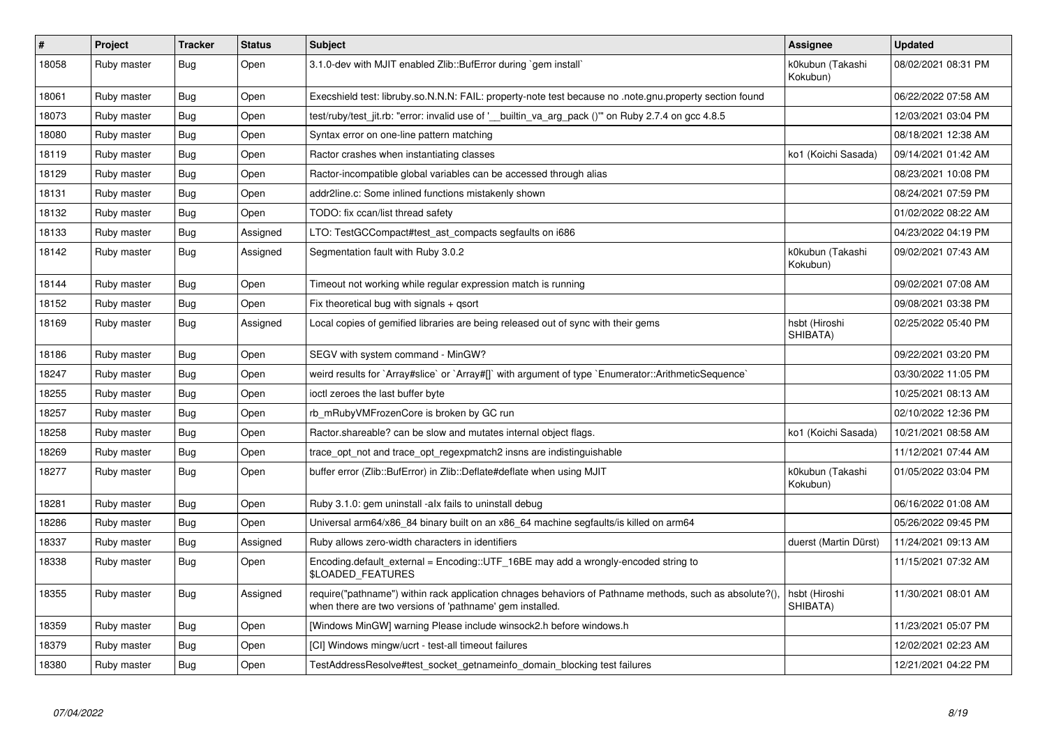| #     | Project     | <b>Tracker</b> | <b>Status</b> | <b>Subject</b>                                                                                                                                                      | <b>Assignee</b>              | <b>Updated</b>      |
|-------|-------------|----------------|---------------|---------------------------------------------------------------------------------------------------------------------------------------------------------------------|------------------------------|---------------------|
| 18058 | Ruby master | Bug            | Open          | 3.1.0-dev with MJIT enabled Zlib::BufError during `gem install`                                                                                                     | k0kubun (Takashi<br>Kokubun) | 08/02/2021 08:31 PM |
| 18061 | Ruby master | Bug            | Open          | Execshield test: libruby.so.N.N.N: FAIL: property-note test because no .note.gnu.property section found                                                             |                              | 06/22/2022 07:58 AM |
| 18073 | Ruby master | Bug            | Open          | test/ruby/test_jit.rb: "error: invalid use of '__builtin_va_arg_pack ()"" on Ruby 2.7.4 on gcc 4.8.5                                                                |                              | 12/03/2021 03:04 PM |
| 18080 | Ruby master | Bug            | Open          | Syntax error on one-line pattern matching                                                                                                                           |                              | 08/18/2021 12:38 AM |
| 18119 | Ruby master | <b>Bug</b>     | Open          | Ractor crashes when instantiating classes                                                                                                                           | ko1 (Koichi Sasada)          | 09/14/2021 01:42 AM |
| 18129 | Ruby master | <b>Bug</b>     | Open          | Ractor-incompatible global variables can be accessed through alias                                                                                                  |                              | 08/23/2021 10:08 PM |
| 18131 | Ruby master | <b>Bug</b>     | Open          | addr2line.c: Some inlined functions mistakenly shown                                                                                                                |                              | 08/24/2021 07:59 PM |
| 18132 | Ruby master | <b>Bug</b>     | Open          | TODO: fix ccan/list thread safety                                                                                                                                   |                              | 01/02/2022 08:22 AM |
| 18133 | Ruby master | Bug            | Assigned      | LTO: TestGCCompact#test ast compacts segfaults on i686                                                                                                              |                              | 04/23/2022 04:19 PM |
| 18142 | Ruby master | Bug            | Assigned      | Segmentation fault with Ruby 3.0.2                                                                                                                                  | k0kubun (Takashi<br>Kokubun) | 09/02/2021 07:43 AM |
| 18144 | Ruby master | <b>Bug</b>     | Open          | Timeout not working while regular expression match is running                                                                                                       |                              | 09/02/2021 07:08 AM |
| 18152 | Ruby master | Bug            | Open          | Fix theoretical bug with signals $+$ qsort                                                                                                                          |                              | 09/08/2021 03:38 PM |
| 18169 | Ruby master | Bug            | Assigned      | Local copies of gemified libraries are being released out of sync with their gems                                                                                   | hsbt (Hiroshi<br>SHIBATA)    | 02/25/2022 05:40 PM |
| 18186 | Ruby master | <b>Bug</b>     | Open          | SEGV with system command - MinGW?                                                                                                                                   |                              | 09/22/2021 03:20 PM |
| 18247 | Ruby master | <b>Bug</b>     | Open          | weird results for `Array#slice` or `Array#[]` with argument of type `Enumerator::ArithmeticSequence`                                                                |                              | 03/30/2022 11:05 PM |
| 18255 | Ruby master | Bug            | Open          | ioctl zeroes the last buffer byte                                                                                                                                   |                              | 10/25/2021 08:13 AM |
| 18257 | Ruby master | <b>Bug</b>     | Open          | rb mRubyVMFrozenCore is broken by GC run                                                                                                                            |                              | 02/10/2022 12:36 PM |
| 18258 | Ruby master | <b>Bug</b>     | Open          | Ractor shareable? can be slow and mutates internal object flags.                                                                                                    | ko1 (Koichi Sasada)          | 10/21/2021 08:58 AM |
| 18269 | Ruby master | <b>Bug</b>     | Open          | trace_opt_not and trace_opt_regexpmatch2 insns are indistinguishable                                                                                                |                              | 11/12/2021 07:44 AM |
| 18277 | Ruby master | <b>Bug</b>     | Open          | buffer error (Zlib::BufError) in Zlib::Deflate#deflate when using MJIT                                                                                              | k0kubun (Takashi<br>Kokubun) | 01/05/2022 03:04 PM |
| 18281 | Ruby master | Bug            | Open          | Ruby 3.1.0: gem uninstall -alx fails to uninstall debug                                                                                                             |                              | 06/16/2022 01:08 AM |
| 18286 | Ruby master | <b>Bug</b>     | Open          | Universal arm64/x86_84 binary built on an x86_64 machine segfaults/is killed on arm64                                                                               |                              | 05/26/2022 09:45 PM |
| 18337 | Ruby master | Bug            | Assigned      | Ruby allows zero-width characters in identifiers                                                                                                                    | duerst (Martin Dürst)        | 11/24/2021 09:13 AM |
| 18338 | Ruby master | Bug            | Open          | Encoding.default_external = Encoding::UTF_16BE may add a wrongly-encoded string to<br>\$LOADED FEATURES                                                             |                              | 11/15/2021 07:32 AM |
| 18355 | Ruby master | Bug            | Assigned      | require("pathname") within rack application chnages behaviors of Pathname methods, such as absolute?(),<br>when there are two versions of 'pathname' gem installed. | hsbt (Hiroshi<br>SHIBATA)    | 11/30/2021 08:01 AM |
| 18359 | Ruby master | Bug            | Open          | [Windows MinGW] warning Please include winsock2.h before windows.h                                                                                                  |                              | 11/23/2021 05:07 PM |
| 18379 | Ruby master | <b>Bug</b>     | Open          | [CI] Windows mingw/ucrt - test-all timeout failures                                                                                                                 |                              | 12/02/2021 02:23 AM |
| 18380 | Ruby master | <b>Bug</b>     | Open          | TestAddressResolve#test_socket_getnameinfo_domain_blocking test failures                                                                                            |                              | 12/21/2021 04:22 PM |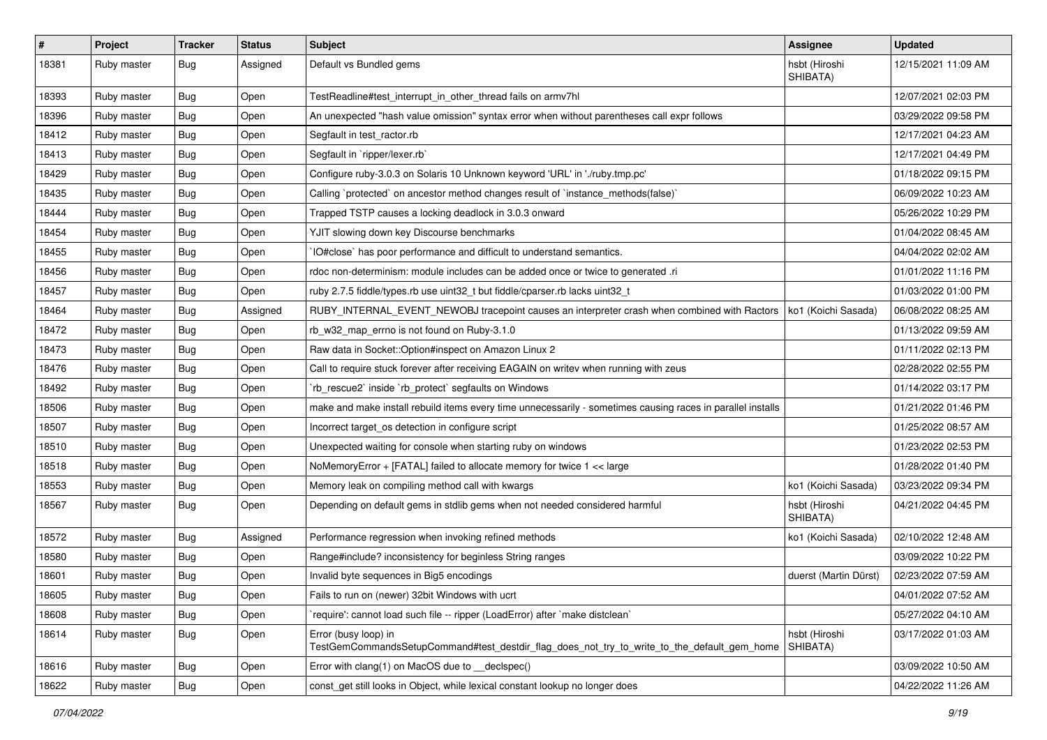| $\sharp$ | Project     | <b>Tracker</b> | <b>Status</b> | <b>Subject</b>                                                                                                      | <b>Assignee</b>           | <b>Updated</b>      |
|----------|-------------|----------------|---------------|---------------------------------------------------------------------------------------------------------------------|---------------------------|---------------------|
| 18381    | Ruby master | Bug            | Assigned      | Default vs Bundled gems                                                                                             | hsbt (Hiroshi<br>SHIBATA) | 12/15/2021 11:09 AM |
| 18393    | Ruby master | Bug            | Open          | TestReadline#test_interrupt_in_other_thread fails on armv7hl                                                        |                           | 12/07/2021 02:03 PM |
| 18396    | Ruby master | <b>Bug</b>     | Open          | An unexpected "hash value omission" syntax error when without parentheses call expr follows                         |                           | 03/29/2022 09:58 PM |
| 18412    | Ruby master | Bug            | Open          | Segfault in test_ractor.rb                                                                                          |                           | 12/17/2021 04:23 AM |
| 18413    | Ruby master | <b>Bug</b>     | Open          | Segfault in `ripper/lexer.rb`                                                                                       |                           | 12/17/2021 04:49 PM |
| 18429    | Ruby master | <b>Bug</b>     | Open          | Configure ruby-3.0.3 on Solaris 10 Unknown keyword 'URL' in './ruby.tmp.pc'                                         |                           | 01/18/2022 09:15 PM |
| 18435    | Ruby master | Bug            | Open          | Calling `protected` on ancestor method changes result of `instance_methods(false)`                                  |                           | 06/09/2022 10:23 AM |
| 18444    | Ruby master | <b>Bug</b>     | Open          | Trapped TSTP causes a locking deadlock in 3.0.3 onward                                                              |                           | 05/26/2022 10:29 PM |
| 18454    | Ruby master | Bug            | Open          | YJIT slowing down key Discourse benchmarks                                                                          |                           | 01/04/2022 08:45 AM |
| 18455    | Ruby master | <b>Bug</b>     | Open          | IO#close` has poor performance and difficult to understand semantics.                                               |                           | 04/04/2022 02:02 AM |
| 18456    | Ruby master | <b>Bug</b>     | Open          | rdoc non-determinism: module includes can be added once or twice to generated .ri                                   |                           | 01/01/2022 11:16 PM |
| 18457    | Ruby master | <b>Bug</b>     | Open          | ruby 2.7.5 fiddle/types.rb use uint32_t but fiddle/cparser.rb lacks uint32_t                                        |                           | 01/03/2022 01:00 PM |
| 18464    | Ruby master | <b>Bug</b>     | Assigned      | RUBY_INTERNAL_EVENT_NEWOBJ tracepoint causes an interpreter crash when combined with Ractors                        | ko1 (Koichi Sasada)       | 06/08/2022 08:25 AM |
| 18472    | Ruby master | <b>Bug</b>     | Open          | rb_w32_map_errno is not found on Ruby-3.1.0                                                                         |                           | 01/13/2022 09:59 AM |
| 18473    | Ruby master | Bug            | Open          | Raw data in Socket::Option#inspect on Amazon Linux 2                                                                |                           | 01/11/2022 02:13 PM |
| 18476    | Ruby master | <b>Bug</b>     | Open          | Call to require stuck forever after receiving EAGAIN on writev when running with zeus                               |                           | 02/28/2022 02:55 PM |
| 18492    | Ruby master | <b>Bug</b>     | Open          | 'rb_rescue2' inside 'rb_protect' segfaults on Windows                                                               |                           | 01/14/2022 03:17 PM |
| 18506    | Ruby master | <b>Bug</b>     | Open          | make and make install rebuild items every time unnecessarily - sometimes causing races in parallel installs         |                           | 01/21/2022 01:46 PM |
| 18507    | Ruby master | <b>Bug</b>     | Open          | Incorrect target_os detection in configure script                                                                   |                           | 01/25/2022 08:57 AM |
| 18510    | Ruby master | <b>Bug</b>     | Open          | Unexpected waiting for console when starting ruby on windows                                                        |                           | 01/23/2022 02:53 PM |
| 18518    | Ruby master | <b>Bug</b>     | Open          | NoMemoryError + [FATAL] failed to allocate memory for twice 1 << large                                              |                           | 01/28/2022 01:40 PM |
| 18553    | Ruby master | Bug            | Open          | Memory leak on compiling method call with kwargs                                                                    | ko1 (Koichi Sasada)       | 03/23/2022 09:34 PM |
| 18567    | Ruby master | <b>Bug</b>     | Open          | Depending on default gems in stdlib gems when not needed considered harmful                                         | hsbt (Hiroshi<br>SHIBATA) | 04/21/2022 04:45 PM |
| 18572    | Ruby master | <b>Bug</b>     | Assigned      | Performance regression when invoking refined methods                                                                | ko1 (Koichi Sasada)       | 02/10/2022 12:48 AM |
| 18580    | Ruby master | <b>Bug</b>     | Open          | Range#include? inconsistency for beginless String ranges                                                            |                           | 03/09/2022 10:22 PM |
| 18601    | Ruby master | <b>Bug</b>     | Open          | Invalid byte sequences in Big5 encodings                                                                            | duerst (Martin Dürst)     | 02/23/2022 07:59 AM |
| 18605    | Ruby master | Bug            | Open          | Fails to run on (newer) 32bit Windows with ucrt                                                                     |                           | 04/01/2022 07:52 AM |
| 18608    | Ruby master | <b>Bug</b>     | Open          | 'require': cannot load such file -- ripper (LoadError) after 'make distclean'                                       |                           | 05/27/2022 04:10 AM |
| 18614    | Ruby master | <b>Bug</b>     | Open          | Error (busy loop) in<br>TestGemCommandsSetupCommand#test_destdir_flag_does_not_try_to_write_to_the_default_gem_home | hsbt (Hiroshi<br>SHIBATA) | 03/17/2022 01:03 AM |
| 18616    | Ruby master | <b>Bug</b>     | Open          | Error with clang(1) on MacOS due to declspec()                                                                      |                           | 03/09/2022 10:50 AM |
| 18622    | Ruby master | <b>Bug</b>     | Open          | const get still looks in Object, while lexical constant lookup no longer does                                       |                           | 04/22/2022 11:26 AM |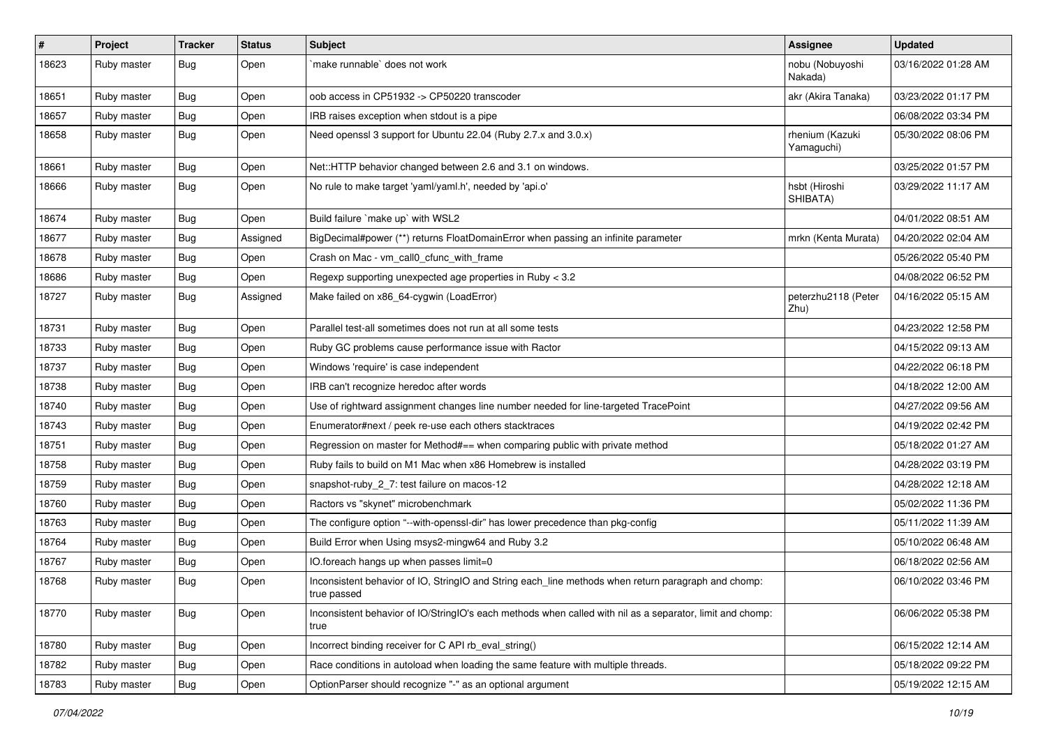| $\vert$ # | Project     | <b>Tracker</b> | <b>Status</b> | <b>Subject</b>                                                                                                     | Assignee                      | <b>Updated</b>      |
|-----------|-------------|----------------|---------------|--------------------------------------------------------------------------------------------------------------------|-------------------------------|---------------------|
| 18623     | Ruby master | Bug            | Open          | make runnable' does not work                                                                                       | nobu (Nobuyoshi<br>Nakada)    | 03/16/2022 01:28 AM |
| 18651     | Ruby master | <b>Bug</b>     | Open          | oob access in CP51932 -> CP50220 transcoder                                                                        | akr (Akira Tanaka)            | 03/23/2022 01:17 PM |
| 18657     | Ruby master | <b>Bug</b>     | Open          | IRB raises exception when stdout is a pipe                                                                         |                               | 06/08/2022 03:34 PM |
| 18658     | Ruby master | <b>Bug</b>     | Open          | Need openssl 3 support for Ubuntu 22.04 (Ruby 2.7.x and 3.0.x)                                                     | rhenium (Kazuki<br>Yamaguchi) | 05/30/2022 08:06 PM |
| 18661     | Ruby master | Bug            | Open          | Net::HTTP behavior changed between 2.6 and 3.1 on windows.                                                         |                               | 03/25/2022 01:57 PM |
| 18666     | Ruby master | <b>Bug</b>     | Open          | No rule to make target 'yaml/yaml.h', needed by 'api.o'                                                            | hsbt (Hiroshi<br>SHIBATA)     | 03/29/2022 11:17 AM |
| 18674     | Ruby master | Bug            | Open          | Build failure `make up` with WSL2                                                                                  |                               | 04/01/2022 08:51 AM |
| 18677     | Ruby master | Bug            | Assigned      | BigDecimal#power (**) returns FloatDomainError when passing an infinite parameter                                  | mrkn (Kenta Murata)           | 04/20/2022 02:04 AM |
| 18678     | Ruby master | <b>Bug</b>     | Open          | Crash on Mac - vm_call0_cfunc_with_frame                                                                           |                               | 05/26/2022 05:40 PM |
| 18686     | Ruby master | <b>Bug</b>     | Open          | Regexp supporting unexpected age properties in Ruby < 3.2                                                          |                               | 04/08/2022 06:52 PM |
| 18727     | Ruby master | <b>Bug</b>     | Assigned      | Make failed on x86_64-cygwin (LoadError)                                                                           | peterzhu2118 (Peter<br>Zhu)   | 04/16/2022 05:15 AM |
| 18731     | Ruby master | <b>Bug</b>     | Open          | Parallel test-all sometimes does not run at all some tests                                                         |                               | 04/23/2022 12:58 PM |
| 18733     | Ruby master | <b>Bug</b>     | Open          | Ruby GC problems cause performance issue with Ractor                                                               |                               | 04/15/2022 09:13 AM |
| 18737     | Ruby master | Bug            | Open          | Windows 'require' is case independent                                                                              |                               | 04/22/2022 06:18 PM |
| 18738     | Ruby master | <b>Bug</b>     | Open          | IRB can't recognize heredoc after words                                                                            |                               | 04/18/2022 12:00 AM |
| 18740     | Ruby master | Bug            | Open          | Use of rightward assignment changes line number needed for line-targeted TracePoint                                |                               | 04/27/2022 09:56 AM |
| 18743     | Ruby master | <b>Bug</b>     | Open          | Enumerator#next / peek re-use each others stacktraces                                                              |                               | 04/19/2022 02:42 PM |
| 18751     | Ruby master | <b>Bug</b>     | Open          | Regression on master for Method#== when comparing public with private method                                       |                               | 05/18/2022 01:27 AM |
| 18758     | Ruby master | <b>Bug</b>     | Open          | Ruby fails to build on M1 Mac when x86 Homebrew is installed                                                       |                               | 04/28/2022 03:19 PM |
| 18759     | Ruby master | <b>Bug</b>     | Open          | snapshot-ruby 2 7: test failure on macos-12                                                                        |                               | 04/28/2022 12:18 AM |
| 18760     | Ruby master | <b>Bug</b>     | Open          | Ractors vs "skynet" microbenchmark                                                                                 |                               | 05/02/2022 11:36 PM |
| 18763     | Ruby master | <b>Bug</b>     | Open          | The configure option "--with-openssl-dir" has lower precedence than pkg-config                                     |                               | 05/11/2022 11:39 AM |
| 18764     | Ruby master | <b>Bug</b>     | Open          | Build Error when Using msys2-mingw64 and Ruby 3.2                                                                  |                               | 05/10/2022 06:48 AM |
| 18767     | Ruby master | <b>Bug</b>     | Open          | IO.foreach hangs up when passes limit=0                                                                            |                               | 06/18/2022 02:56 AM |
| 18768     | Ruby master | <b>Bug</b>     | Open          | Inconsistent behavior of IO, StringIO and String each_line methods when return paragraph and chomp:<br>true passed |                               | 06/10/2022 03:46 PM |
| 18770     | Ruby master | <b>Bug</b>     | Open          | Inconsistent behavior of IO/StringIO's each methods when called with nil as a separator, limit and chomp:<br>true  |                               | 06/06/2022 05:38 PM |
| 18780     | Ruby master | <b>Bug</b>     | Open          | Incorrect binding receiver for C API rb_eval_string()                                                              |                               | 06/15/2022 12:14 AM |
| 18782     | Ruby master | <b>Bug</b>     | Open          | Race conditions in autoload when loading the same feature with multiple threads.                                   |                               | 05/18/2022 09:22 PM |
| 18783     | Ruby master | Bug            | Open          | OptionParser should recognize "-" as an optional argument                                                          |                               | 05/19/2022 12:15 AM |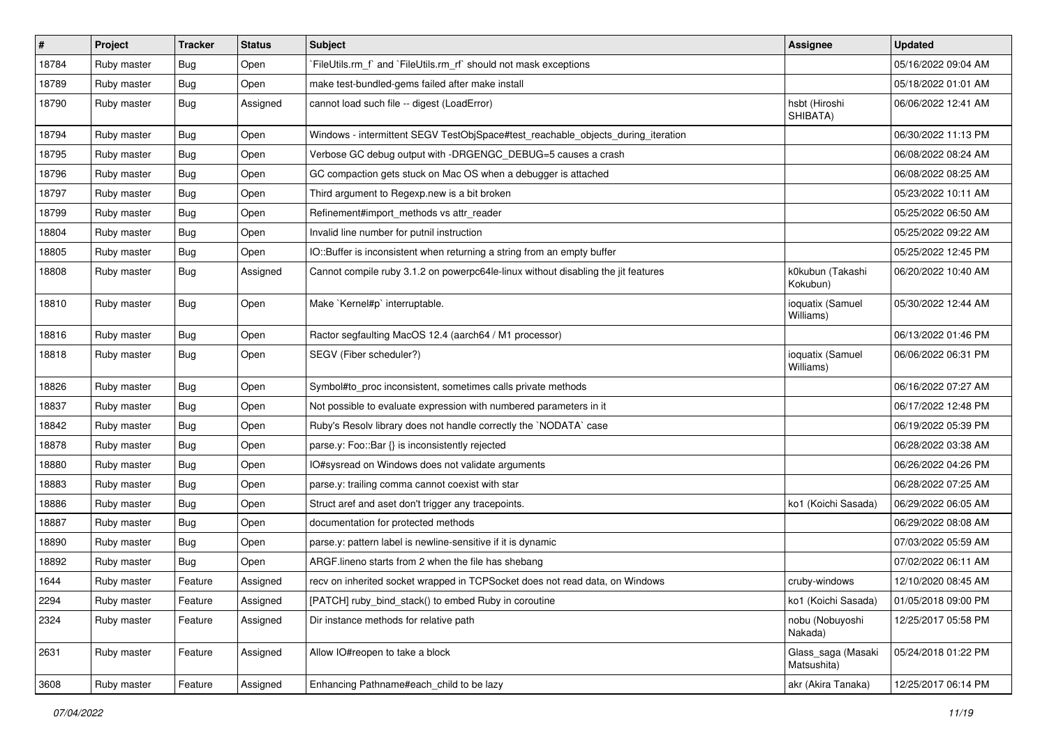| $\vert$ # | Project     | <b>Tracker</b> | <b>Status</b> | Subject                                                                           | <b>Assignee</b>                   | <b>Updated</b>      |
|-----------|-------------|----------------|---------------|-----------------------------------------------------------------------------------|-----------------------------------|---------------------|
| 18784     | Ruby master | Bug            | Open          | FileUtils.rm_f`and `FileUtils.rm_rf` should not mask exceptions                   |                                   | 05/16/2022 09:04 AM |
| 18789     | Ruby master | <b>Bug</b>     | Open          | make test-bundled-gems failed after make install                                  |                                   | 05/18/2022 01:01 AM |
| 18790     | Ruby master | Bug            | Assigned      | cannot load such file -- digest (LoadError)                                       | hsbt (Hiroshi<br>SHIBATA)         | 06/06/2022 12:41 AM |
| 18794     | Ruby master | Bug            | Open          | Windows - intermittent SEGV TestObjSpace#test_reachable_objects_during_iteration  |                                   | 06/30/2022 11:13 PM |
| 18795     | Ruby master | Bug            | Open          | Verbose GC debug output with -DRGENGC_DEBUG=5 causes a crash                      |                                   | 06/08/2022 08:24 AM |
| 18796     | Ruby master | Bug            | Open          | GC compaction gets stuck on Mac OS when a debugger is attached                    |                                   | 06/08/2022 08:25 AM |
| 18797     | Ruby master | Bug            | Open          | Third argument to Regexp.new is a bit broken                                      |                                   | 05/23/2022 10:11 AM |
| 18799     | Ruby master | <b>Bug</b>     | Open          | Refinement#import_methods vs attr_reader                                          |                                   | 05/25/2022 06:50 AM |
| 18804     | Ruby master | <b>Bug</b>     | Open          | Invalid line number for putnil instruction                                        |                                   | 05/25/2022 09:22 AM |
| 18805     | Ruby master | Bug            | Open          | IO::Buffer is inconsistent when returning a string from an empty buffer           |                                   | 05/25/2022 12:45 PM |
| 18808     | Ruby master | Bug            | Assigned      | Cannot compile ruby 3.1.2 on powerpc64le-linux without disabling the jit features | k0kubun (Takashi<br>Kokubun)      | 06/20/2022 10:40 AM |
| 18810     | Ruby master | Bug            | Open          | Make `Kernel#p` interruptable.                                                    | ioquatix (Samuel<br>Williams)     | 05/30/2022 12:44 AM |
| 18816     | Ruby master | Bug            | Open          | Ractor segfaulting MacOS 12.4 (aarch64 / M1 processor)                            |                                   | 06/13/2022 01:46 PM |
| 18818     | Ruby master | Bug            | Open          | SEGV (Fiber scheduler?)                                                           | ioquatix (Samuel<br>Williams)     | 06/06/2022 06:31 PM |
| 18826     | Ruby master | Bug            | Open          | Symbol#to_proc inconsistent, sometimes calls private methods                      |                                   | 06/16/2022 07:27 AM |
| 18837     | Ruby master | <b>Bug</b>     | Open          | Not possible to evaluate expression with numbered parameters in it                |                                   | 06/17/2022 12:48 PM |
| 18842     | Ruby master | <b>Bug</b>     | Open          | Ruby's Resolv library does not handle correctly the `NODATA` case                 |                                   | 06/19/2022 05:39 PM |
| 18878     | Ruby master | Bug            | Open          | parse.y: Foo::Bar {} is inconsistently rejected                                   |                                   | 06/28/2022 03:38 AM |
| 18880     | Ruby master | Bug            | Open          | IO#sysread on Windows does not validate arguments                                 |                                   | 06/26/2022 04:26 PM |
| 18883     | Ruby master | Bug            | Open          | parse.y: trailing comma cannot coexist with star                                  |                                   | 06/28/2022 07:25 AM |
| 18886     | Ruby master | <b>Bug</b>     | Open          | Struct aref and aset don't trigger any tracepoints.                               | ko1 (Koichi Sasada)               | 06/29/2022 06:05 AM |
| 18887     | Ruby master | Bug            | Open          | documentation for protected methods                                               |                                   | 06/29/2022 08:08 AM |
| 18890     | Ruby master | Bug            | Open          | parse.y: pattern label is newline-sensitive if it is dynamic                      |                                   | 07/03/2022 05:59 AM |
| 18892     | Ruby master | Bug            | Open          | ARGF. lineno starts from 2 when the file has shebang                              |                                   | 07/02/2022 06:11 AM |
| 1644      | Ruby master | Feature        | Assigned      | recv on inherited socket wrapped in TCPSocket does not read data, on Windows      | cruby-windows                     | 12/10/2020 08:45 AM |
| 2294      | Ruby master | Feature        | Assigned      | [PATCH] ruby_bind_stack() to embed Ruby in coroutine                              | ko1 (Koichi Sasada)               | 01/05/2018 09:00 PM |
| 2324      | Ruby master | Feature        | Assigned      | Dir instance methods for relative path                                            | nobu (Nobuyoshi<br>Nakada)        | 12/25/2017 05:58 PM |
| 2631      | Ruby master | Feature        | Assigned      | Allow IO#reopen to take a block                                                   | Glass_saga (Masaki<br>Matsushita) | 05/24/2018 01:22 PM |
| 3608      | Ruby master | Feature        | Assigned      | Enhancing Pathname#each_child to be lazy                                          | akr (Akira Tanaka)                | 12/25/2017 06:14 PM |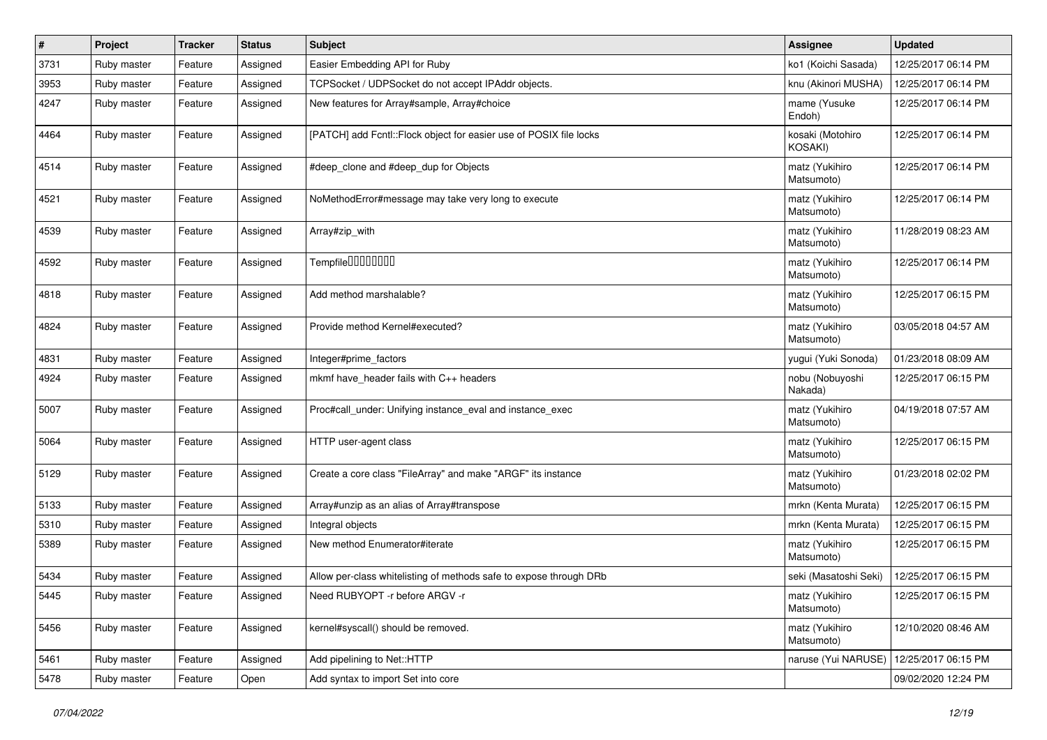| $\vert$ # | Project     | <b>Tracker</b> | <b>Status</b> | Subject                                                             | <b>Assignee</b>              | <b>Updated</b>      |
|-----------|-------------|----------------|---------------|---------------------------------------------------------------------|------------------------------|---------------------|
| 3731      | Ruby master | Feature        | Assigned      | Easier Embedding API for Ruby                                       | ko1 (Koichi Sasada)          | 12/25/2017 06:14 PM |
| 3953      | Ruby master | Feature        | Assigned      | TCPSocket / UDPSocket do not accept IPAddr objects.                 | knu (Akinori MUSHA)          | 12/25/2017 06:14 PM |
| 4247      | Ruby master | Feature        | Assigned      | New features for Array#sample, Array#choice                         | mame (Yusuke<br>Endoh)       | 12/25/2017 06:14 PM |
| 4464      | Ruby master | Feature        | Assigned      | [PATCH] add Fcntl:: Flock object for easier use of POSIX file locks | kosaki (Motohiro<br>KOSAKI)  | 12/25/2017 06:14 PM |
| 4514      | Ruby master | Feature        | Assigned      | #deep clone and #deep dup for Objects                               | matz (Yukihiro<br>Matsumoto) | 12/25/2017 06:14 PM |
| 4521      | Ruby master | Feature        | Assigned      | NoMethodError#message may take very long to execute                 | matz (Yukihiro<br>Matsumoto) | 12/25/2017 06:14 PM |
| 4539      | Ruby master | Feature        | Assigned      | Array#zip with                                                      | matz (Yukihiro<br>Matsumoto) | 11/28/2019 08:23 AM |
| 4592      | Ruby master | Feature        | Assigned      | Tempfile0000000                                                     | matz (Yukihiro<br>Matsumoto) | 12/25/2017 06:14 PM |
| 4818      | Ruby master | Feature        | Assigned      | Add method marshalable?                                             | matz (Yukihiro<br>Matsumoto) | 12/25/2017 06:15 PM |
| 4824      | Ruby master | Feature        | Assigned      | Provide method Kernel#executed?                                     | matz (Yukihiro<br>Matsumoto) | 03/05/2018 04:57 AM |
| 4831      | Ruby master | Feature        | Assigned      | Integer#prime_factors                                               | yugui (Yuki Sonoda)          | 01/23/2018 08:09 AM |
| 4924      | Ruby master | Feature        | Assigned      | mkmf have header fails with C++ headers                             | nobu (Nobuyoshi<br>Nakada)   | 12/25/2017 06:15 PM |
| 5007      | Ruby master | Feature        | Assigned      | Proc#call_under: Unifying instance_eval and instance_exec           | matz (Yukihiro<br>Matsumoto) | 04/19/2018 07:57 AM |
| 5064      | Ruby master | Feature        | Assigned      | HTTP user-agent class                                               | matz (Yukihiro<br>Matsumoto) | 12/25/2017 06:15 PM |
| 5129      | Ruby master | Feature        | Assigned      | Create a core class "FileArray" and make "ARGF" its instance        | matz (Yukihiro<br>Matsumoto) | 01/23/2018 02:02 PM |
| 5133      | Ruby master | Feature        | Assigned      | Array#unzip as an alias of Array#transpose                          | mrkn (Kenta Murata)          | 12/25/2017 06:15 PM |
| 5310      | Ruby master | Feature        | Assigned      | Integral objects                                                    | mrkn (Kenta Murata)          | 12/25/2017 06:15 PM |
| 5389      | Ruby master | Feature        | Assigned      | New method Enumerator#iterate                                       | matz (Yukihiro<br>Matsumoto) | 12/25/2017 06:15 PM |
| 5434      | Ruby master | Feature        | Assigned      | Allow per-class whitelisting of methods safe to expose through DRb  | seki (Masatoshi Seki)        | 12/25/2017 06:15 PM |
| 5445      | Ruby master | Feature        | Assigned      | Need RUBYOPT -r before ARGV -r                                      | matz (Yukihiro<br>Matsumoto) | 12/25/2017 06:15 PM |
| 5456      | Ruby master | Feature        | Assigned      | kernel#syscall() should be removed.                                 | matz (Yukihiro<br>Matsumoto) | 12/10/2020 08:46 AM |
| 5461      | Ruby master | Feature        | Assigned      | Add pipelining to Net::HTTP                                         | naruse (Yui NARUSE)          | 12/25/2017 06:15 PM |
| 5478      | Ruby master | Feature        | Open          | Add syntax to import Set into core                                  |                              | 09/02/2020 12:24 PM |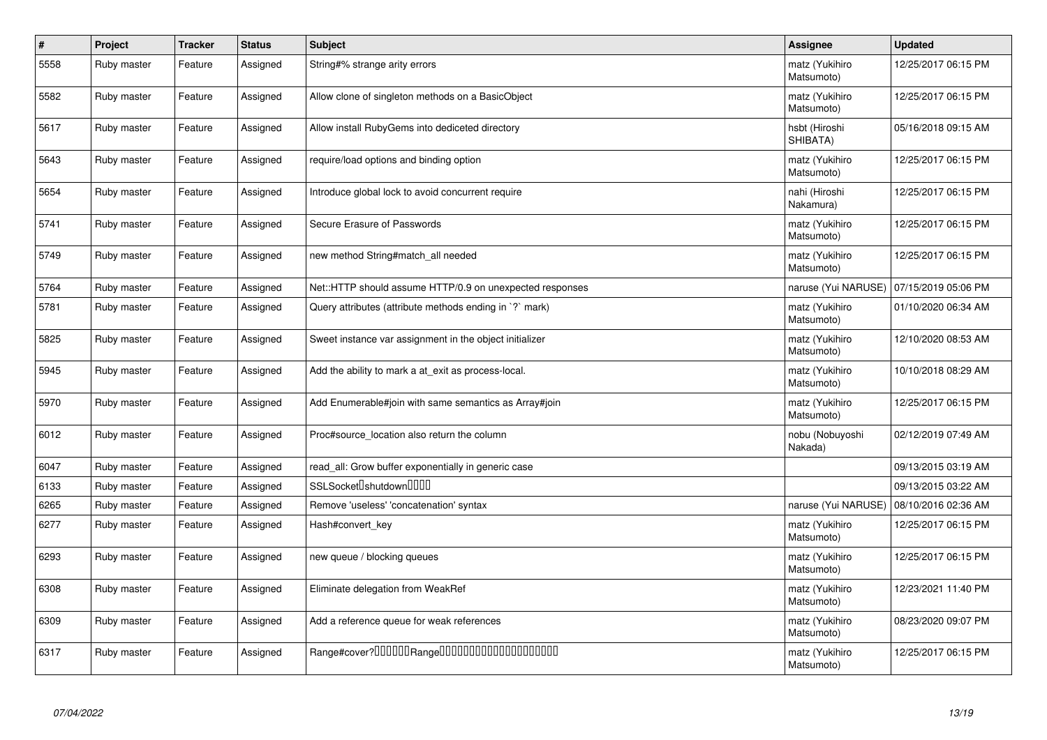| $\sharp$ | Project     | <b>Tracker</b> | <b>Status</b> | <b>Subject</b>                                           | <b>Assignee</b>              | <b>Updated</b>      |
|----------|-------------|----------------|---------------|----------------------------------------------------------|------------------------------|---------------------|
| 5558     | Ruby master | Feature        | Assigned      | String#% strange arity errors                            | matz (Yukihiro<br>Matsumoto) | 12/25/2017 06:15 PM |
| 5582     | Ruby master | Feature        | Assigned      | Allow clone of singleton methods on a BasicObject        | matz (Yukihiro<br>Matsumoto) | 12/25/2017 06:15 PM |
| 5617     | Ruby master | Feature        | Assigned      | Allow install RubyGems into dediceted directory          | hsbt (Hiroshi<br>SHIBATA)    | 05/16/2018 09:15 AM |
| 5643     | Ruby master | Feature        | Assigned      | require/load options and binding option                  | matz (Yukihiro<br>Matsumoto) | 12/25/2017 06:15 PM |
| 5654     | Ruby master | Feature        | Assigned      | Introduce global lock to avoid concurrent require        | nahi (Hiroshi<br>Nakamura)   | 12/25/2017 06:15 PM |
| 5741     | Ruby master | Feature        | Assigned      | Secure Erasure of Passwords                              | matz (Yukihiro<br>Matsumoto) | 12/25/2017 06:15 PM |
| 5749     | Ruby master | Feature        | Assigned      | new method String#match all needed                       | matz (Yukihiro<br>Matsumoto) | 12/25/2017 06:15 PM |
| 5764     | Ruby master | Feature        | Assigned      | Net::HTTP should assume HTTP/0.9 on unexpected responses | naruse (Yui NARUSE)          | 07/15/2019 05:06 PM |
| 5781     | Ruby master | Feature        | Assigned      | Query attributes (attribute methods ending in `?` mark)  | matz (Yukihiro<br>Matsumoto) | 01/10/2020 06:34 AM |
| 5825     | Ruby master | Feature        | Assigned      | Sweet instance var assignment in the object initializer  | matz (Yukihiro<br>Matsumoto) | 12/10/2020 08:53 AM |
| 5945     | Ruby master | Feature        | Assigned      | Add the ability to mark a at exit as process-local.      | matz (Yukihiro<br>Matsumoto) | 10/10/2018 08:29 AM |
| 5970     | Ruby master | Feature        | Assigned      | Add Enumerable#join with same semantics as Array#join    | matz (Yukihiro<br>Matsumoto) | 12/25/2017 06:15 PM |
| 6012     | Ruby master | Feature        | Assigned      | Proc#source_location also return the column              | nobu (Nobuyoshi<br>Nakada)   | 02/12/2019 07:49 AM |
| 6047     | Ruby master | Feature        | Assigned      | read_all: Grow buffer exponentially in generic case      |                              | 09/13/2015 03:19 AM |
| 6133     | Ruby master | Feature        | Assigned      | SSLSocket <sup>[]</sup> shutdown <sup>[][][]</sup>       |                              | 09/13/2015 03:22 AM |
| 6265     | Ruby master | Feature        | Assigned      | Remove 'useless' 'concatenation' syntax                  | naruse (Yui NARUSE)          | 08/10/2016 02:36 AM |
| 6277     | Ruby master | Feature        | Assigned      | Hash#convert key                                         | matz (Yukihiro<br>Matsumoto) | 12/25/2017 06:15 PM |
| 6293     | Ruby master | Feature        | Assigned      | new queue / blocking queues                              | matz (Yukihiro<br>Matsumoto) | 12/25/2017 06:15 PM |
| 6308     | Ruby master | Feature        | Assigned      | Eliminate delegation from WeakRef                        | matz (Yukihiro<br>Matsumoto) | 12/23/2021 11:40 PM |
| 6309     | Ruby master | Feature        | Assigned      | Add a reference queue for weak references                | matz (Yukihiro<br>Matsumoto) | 08/23/2020 09:07 PM |
| 6317     | Ruby master | Feature        | Assigned      | Range#cover?000000Range00000000000000000000              | matz (Yukihiro<br>Matsumoto) | 12/25/2017 06:15 PM |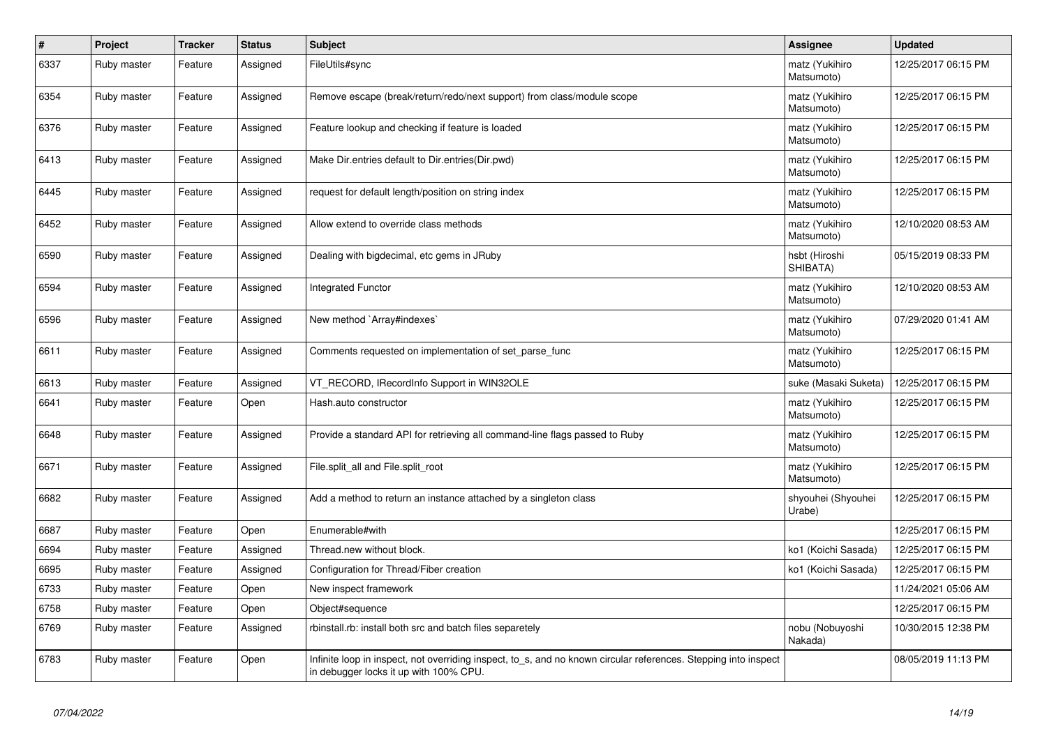| $\vert$ # | Project     | <b>Tracker</b> | <b>Status</b> | <b>Subject</b>                                                                                                                                            | Assignee                     | <b>Updated</b>      |
|-----------|-------------|----------------|---------------|-----------------------------------------------------------------------------------------------------------------------------------------------------------|------------------------------|---------------------|
| 6337      | Ruby master | Feature        | Assigned      | FileUtils#sync                                                                                                                                            | matz (Yukihiro<br>Matsumoto) | 12/25/2017 06:15 PM |
| 6354      | Ruby master | Feature        | Assigned      | Remove escape (break/return/redo/next support) from class/module scope                                                                                    | matz (Yukihiro<br>Matsumoto) | 12/25/2017 06:15 PM |
| 6376      | Ruby master | Feature        | Assigned      | Feature lookup and checking if feature is loaded                                                                                                          | matz (Yukihiro<br>Matsumoto) | 12/25/2017 06:15 PM |
| 6413      | Ruby master | Feature        | Assigned      | Make Dir.entries default to Dir.entries (Dir.pwd)                                                                                                         | matz (Yukihiro<br>Matsumoto) | 12/25/2017 06:15 PM |
| 6445      | Ruby master | Feature        | Assigned      | request for default length/position on string index                                                                                                       | matz (Yukihiro<br>Matsumoto) | 12/25/2017 06:15 PM |
| 6452      | Ruby master | Feature        | Assigned      | Allow extend to override class methods                                                                                                                    | matz (Yukihiro<br>Matsumoto) | 12/10/2020 08:53 AM |
| 6590      | Ruby master | Feature        | Assigned      | Dealing with bigdecimal, etc gems in JRuby                                                                                                                | hsbt (Hiroshi<br>SHIBATA)    | 05/15/2019 08:33 PM |
| 6594      | Ruby master | Feature        | Assigned      | <b>Integrated Functor</b>                                                                                                                                 | matz (Yukihiro<br>Matsumoto) | 12/10/2020 08:53 AM |
| 6596      | Ruby master | Feature        | Assigned      | New method `Array#indexes`                                                                                                                                | matz (Yukihiro<br>Matsumoto) | 07/29/2020 01:41 AM |
| 6611      | Ruby master | Feature        | Assigned      | Comments requested on implementation of set parse func                                                                                                    | matz (Yukihiro<br>Matsumoto) | 12/25/2017 06:15 PM |
| 6613      | Ruby master | Feature        | Assigned      | VT_RECORD, IRecordInfo Support in WIN32OLE                                                                                                                | suke (Masaki Suketa)         | 12/25/2017 06:15 PM |
| 6641      | Ruby master | Feature        | Open          | Hash.auto constructor                                                                                                                                     | matz (Yukihiro<br>Matsumoto) | 12/25/2017 06:15 PM |
| 6648      | Ruby master | Feature        | Assigned      | Provide a standard API for retrieving all command-line flags passed to Ruby                                                                               | matz (Yukihiro<br>Matsumoto) | 12/25/2017 06:15 PM |
| 6671      | Ruby master | Feature        | Assigned      | File.split all and File.split root                                                                                                                        | matz (Yukihiro<br>Matsumoto) | 12/25/2017 06:15 PM |
| 6682      | Ruby master | Feature        | Assigned      | Add a method to return an instance attached by a singleton class                                                                                          | shyouhei (Shyouhei<br>Urabe) | 12/25/2017 06:15 PM |
| 6687      | Ruby master | Feature        | Open          | Enumerable#with                                                                                                                                           |                              | 12/25/2017 06:15 PM |
| 6694      | Ruby master | Feature        | Assigned      | Thread.new without block.                                                                                                                                 | ko1 (Koichi Sasada)          | 12/25/2017 06:15 PM |
| 6695      | Ruby master | Feature        | Assigned      | Configuration for Thread/Fiber creation                                                                                                                   | ko1 (Koichi Sasada)          | 12/25/2017 06:15 PM |
| 6733      | Ruby master | Feature        | Open          | New inspect framework                                                                                                                                     |                              | 11/24/2021 05:06 AM |
| 6758      | Ruby master | Feature        | Open          | Object#sequence                                                                                                                                           |                              | 12/25/2017 06:15 PM |
| 6769      | Ruby master | Feature        | Assigned      | rbinstall.rb: install both src and batch files separetely                                                                                                 | nobu (Nobuyoshi<br>Nakada)   | 10/30/2015 12:38 PM |
| 6783      | Ruby master | Feature        | Open          | Infinite loop in inspect, not overriding inspect, to_s, and no known circular references. Stepping into inspect<br>in debugger locks it up with 100% CPU. |                              | 08/05/2019 11:13 PM |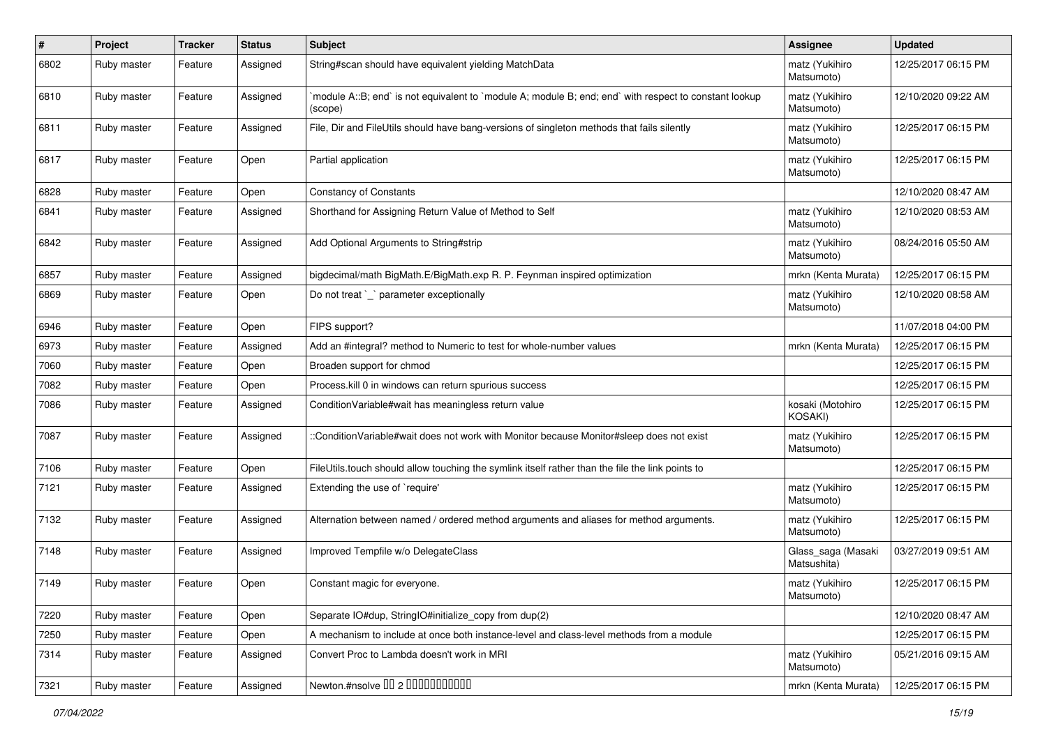| #    | Project     | <b>Tracker</b> | <b>Status</b> | <b>Subject</b>                                                                                                    | <b>Assignee</b>                   | <b>Updated</b>      |
|------|-------------|----------------|---------------|-------------------------------------------------------------------------------------------------------------------|-----------------------------------|---------------------|
| 6802 | Ruby master | Feature        | Assigned      | String#scan should have equivalent yielding MatchData                                                             | matz (Yukihiro<br>Matsumoto)      | 12/25/2017 06:15 PM |
| 6810 | Ruby master | Feature        | Assigned      | module A::B; end` is not equivalent to `module A; module B; end; end` with respect to constant lookup`<br>(scope) | matz (Yukihiro<br>Matsumoto)      | 12/10/2020 09:22 AM |
| 6811 | Ruby master | Feature        | Assigned      | File, Dir and FileUtils should have bang-versions of singleton methods that fails silently                        | matz (Yukihiro<br>Matsumoto)      | 12/25/2017 06:15 PM |
| 6817 | Ruby master | Feature        | Open          | Partial application                                                                                               | matz (Yukihiro<br>Matsumoto)      | 12/25/2017 06:15 PM |
| 6828 | Ruby master | Feature        | Open          | <b>Constancy of Constants</b>                                                                                     |                                   | 12/10/2020 08:47 AM |
| 6841 | Ruby master | Feature        | Assigned      | Shorthand for Assigning Return Value of Method to Self                                                            | matz (Yukihiro<br>Matsumoto)      | 12/10/2020 08:53 AM |
| 6842 | Ruby master | Feature        | Assigned      | Add Optional Arguments to String#strip                                                                            | matz (Yukihiro<br>Matsumoto)      | 08/24/2016 05:50 AM |
| 6857 | Ruby master | Feature        | Assigned      | bigdecimal/math BigMath.E/BigMath.exp R. P. Feynman inspired optimization                                         | mrkn (Kenta Murata)               | 12/25/2017 06:15 PM |
| 6869 | Ruby master | Feature        | Open          | Do not treat `_` parameter exceptionally                                                                          | matz (Yukihiro<br>Matsumoto)      | 12/10/2020 08:58 AM |
| 6946 | Ruby master | Feature        | Open          | FIPS support?                                                                                                     |                                   | 11/07/2018 04:00 PM |
| 6973 | Ruby master | Feature        | Assigned      | Add an #integral? method to Numeric to test for whole-number values                                               | mrkn (Kenta Murata)               | 12/25/2017 06:15 PM |
| 7060 | Ruby master | Feature        | Open          | Broaden support for chmod                                                                                         |                                   | 12/25/2017 06:15 PM |
| 7082 | Ruby master | Feature        | Open          | Process.kill 0 in windows can return spurious success                                                             |                                   | 12/25/2017 06:15 PM |
| 7086 | Ruby master | Feature        | Assigned      | Condition Variable#wait has meaningless return value                                                              | kosaki (Motohiro<br>KOSAKI)       | 12/25/2017 06:15 PM |
| 7087 | Ruby master | Feature        | Assigned      | ::ConditionVariable#wait does not work with Monitor because Monitor#sleep does not exist                          | matz (Yukihiro<br>Matsumoto)      | 12/25/2017 06:15 PM |
| 7106 | Ruby master | Feature        | Open          | FileUtils.touch should allow touching the symlink itself rather than the file the link points to                  |                                   | 12/25/2017 06:15 PM |
| 7121 | Ruby master | Feature        | Assigned      | Extending the use of `require'                                                                                    | matz (Yukihiro<br>Matsumoto)      | 12/25/2017 06:15 PM |
| 7132 | Ruby master | Feature        | Assigned      | Alternation between named / ordered method arguments and aliases for method arguments.                            | matz (Yukihiro<br>Matsumoto)      | 12/25/2017 06:15 PM |
| 7148 | Ruby master | Feature        | Assigned      | Improved Tempfile w/o DelegateClass                                                                               | Glass_saga (Masaki<br>Matsushita) | 03/27/2019 09:51 AM |
| 7149 | Ruby master | Feature        | Open          | Constant magic for everyone.                                                                                      | matz (Yukihiro<br>Matsumoto)      | 12/25/2017 06:15 PM |
| 7220 | Ruby master | Feature        | Open          | Separate IO#dup, StringIO#initialize_copy from dup(2)                                                             |                                   | 12/10/2020 08:47 AM |
| 7250 | Ruby master | Feature        | Open          | A mechanism to include at once both instance-level and class-level methods from a module                          |                                   | 12/25/2017 06:15 PM |
| 7314 | Ruby master | Feature        | Assigned      | Convert Proc to Lambda doesn't work in MRI                                                                        | matz (Yukihiro<br>Matsumoto)      | 05/21/2016 09:15 AM |
| 7321 | Ruby master | Feature        | Assigned      | Newton.#nsolve 00 2 0000000000                                                                                    | mrkn (Kenta Murata)               | 12/25/2017 06:15 PM |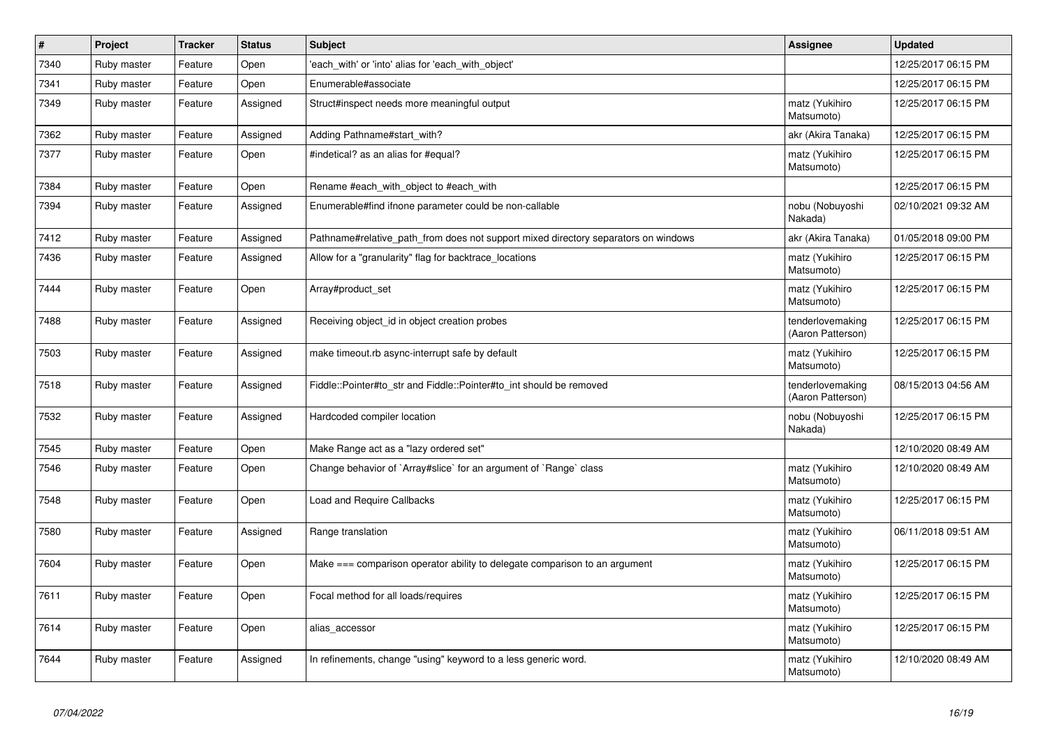| $\vert$ # | Project     | <b>Tracker</b> | <b>Status</b> | <b>Subject</b>                                                                     | <b>Assignee</b>                       | <b>Updated</b>      |
|-----------|-------------|----------------|---------------|------------------------------------------------------------------------------------|---------------------------------------|---------------------|
| 7340      | Ruby master | Feature        | Open          | 'each with' or 'into' alias for 'each with object'                                 |                                       | 12/25/2017 06:15 PM |
| 7341      | Ruby master | Feature        | Open          | Enumerable#associate                                                               |                                       | 12/25/2017 06:15 PM |
| 7349      | Ruby master | Feature        | Assigned      | Struct#inspect needs more meaningful output                                        | matz (Yukihiro<br>Matsumoto)          | 12/25/2017 06:15 PM |
| 7362      | Ruby master | Feature        | Assigned      | Adding Pathname#start with?                                                        | akr (Akira Tanaka)                    | 12/25/2017 06:15 PM |
| 7377      | Ruby master | Feature        | Open          | #indetical? as an alias for #equal?                                                | matz (Yukihiro<br>Matsumoto)          | 12/25/2017 06:15 PM |
| 7384      | Ruby master | Feature        | Open          | Rename #each_with_object to #each_with                                             |                                       | 12/25/2017 06:15 PM |
| 7394      | Ruby master | Feature        | Assigned      | Enumerable#find ifnone parameter could be non-callable                             | nobu (Nobuyoshi<br>Nakada)            | 02/10/2021 09:32 AM |
| 7412      | Ruby master | Feature        | Assigned      | Pathname#relative path from does not support mixed directory separators on windows | akr (Akira Tanaka)                    | 01/05/2018 09:00 PM |
| 7436      | Ruby master | Feature        | Assigned      | Allow for a "granularity" flag for backtrace_locations                             | matz (Yukihiro<br>Matsumoto)          | 12/25/2017 06:15 PM |
| 7444      | Ruby master | Feature        | Open          | Array#product_set                                                                  | matz (Yukihiro<br>Matsumoto)          | 12/25/2017 06:15 PM |
| 7488      | Ruby master | Feature        | Assigned      | Receiving object_id in object creation probes                                      | tenderlovemaking<br>(Aaron Patterson) | 12/25/2017 06:15 PM |
| 7503      | Ruby master | Feature        | Assigned      | make timeout.rb async-interrupt safe by default                                    | matz (Yukihiro<br>Matsumoto)          | 12/25/2017 06:15 PM |
| 7518      | Ruby master | Feature        | Assigned      | Fiddle::Pointer#to_str and Fiddle::Pointer#to_int should be removed                | tenderlovemaking<br>(Aaron Patterson) | 08/15/2013 04:56 AM |
| 7532      | Ruby master | Feature        | Assigned      | Hardcoded compiler location                                                        | nobu (Nobuyoshi<br>Nakada)            | 12/25/2017 06:15 PM |
| 7545      | Ruby master | Feature        | Open          | Make Range act as a "lazy ordered set"                                             |                                       | 12/10/2020 08:49 AM |
| 7546      | Ruby master | Feature        | Open          | Change behavior of `Array#slice` for an argument of `Range` class                  | matz (Yukihiro<br>Matsumoto)          | 12/10/2020 08:49 AM |
| 7548      | Ruby master | Feature        | Open          | <b>Load and Require Callbacks</b>                                                  | matz (Yukihiro<br>Matsumoto)          | 12/25/2017 06:15 PM |
| 7580      | Ruby master | Feature        | Assigned      | Range translation                                                                  | matz (Yukihiro<br>Matsumoto)          | 06/11/2018 09:51 AM |
| 7604      | Ruby master | Feature        | Open          | Make === comparison operator ability to delegate comparison to an argument         | matz (Yukihiro<br>Matsumoto)          | 12/25/2017 06:15 PM |
| 7611      | Ruby master | Feature        | Open          | Focal method for all loads/requires                                                | matz (Yukihiro<br>Matsumoto)          | 12/25/2017 06:15 PM |
| 7614      | Ruby master | Feature        | Open          | alias_accessor                                                                     | matz (Yukihiro<br>Matsumoto)          | 12/25/2017 06:15 PM |
| 7644      | Ruby master | Feature        | Assigned      | In refinements, change "using" keyword to a less generic word.                     | matz (Yukihiro<br>Matsumoto)          | 12/10/2020 08:49 AM |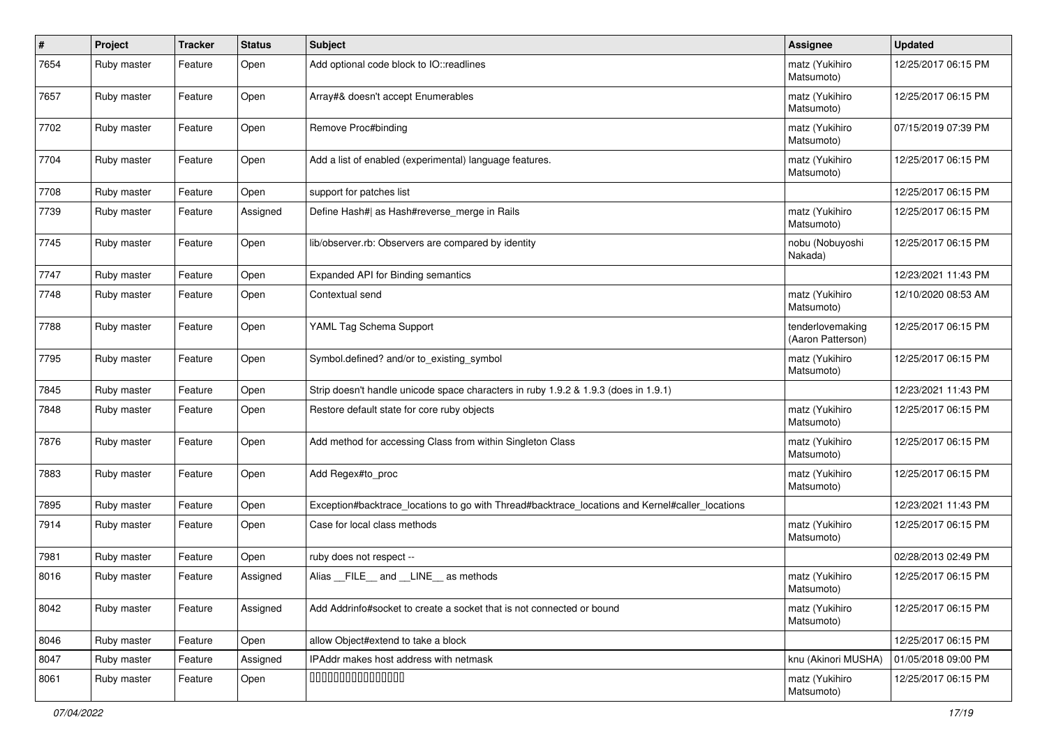| $\sharp$ | Project     | <b>Tracker</b> | <b>Status</b> | Subject                                                                                         | <b>Assignee</b>                       | <b>Updated</b>      |
|----------|-------------|----------------|---------------|-------------------------------------------------------------------------------------------------|---------------------------------------|---------------------|
| 7654     | Ruby master | Feature        | Open          | Add optional code block to IO::readlines                                                        | matz (Yukihiro<br>Matsumoto)          | 12/25/2017 06:15 PM |
| 7657     | Ruby master | Feature        | Open          | Array#& doesn't accept Enumerables                                                              | matz (Yukihiro<br>Matsumoto)          | 12/25/2017 06:15 PM |
| 7702     | Ruby master | Feature        | Open          | Remove Proc#binding                                                                             | matz (Yukihiro<br>Matsumoto)          | 07/15/2019 07:39 PM |
| 7704     | Ruby master | Feature        | Open          | Add a list of enabled (experimental) language features.                                         | matz (Yukihiro<br>Matsumoto)          | 12/25/2017 06:15 PM |
| 7708     | Ruby master | Feature        | Open          | support for patches list                                                                        |                                       | 12/25/2017 06:15 PM |
| 7739     | Ruby master | Feature        | Assigned      | Define Hash#  as Hash#reverse_merge in Rails                                                    | matz (Yukihiro<br>Matsumoto)          | 12/25/2017 06:15 PM |
| 7745     | Ruby master | Feature        | Open          | lib/observer.rb: Observers are compared by identity                                             | nobu (Nobuyoshi<br>Nakada)            | 12/25/2017 06:15 PM |
| 7747     | Ruby master | Feature        | Open          | Expanded API for Binding semantics                                                              |                                       | 12/23/2021 11:43 PM |
| 7748     | Ruby master | Feature        | Open          | Contextual send                                                                                 | matz (Yukihiro<br>Matsumoto)          | 12/10/2020 08:53 AM |
| 7788     | Ruby master | Feature        | Open          | YAML Tag Schema Support                                                                         | tenderlovemaking<br>(Aaron Patterson) | 12/25/2017 06:15 PM |
| 7795     | Ruby master | Feature        | Open          | Symbol.defined? and/or to_existing_symbol                                                       | matz (Yukihiro<br>Matsumoto)          | 12/25/2017 06:15 PM |
| 7845     | Ruby master | Feature        | Open          | Strip doesn't handle unicode space characters in ruby 1.9.2 & 1.9.3 (does in 1.9.1)             |                                       | 12/23/2021 11:43 PM |
| 7848     | Ruby master | Feature        | Open          | Restore default state for core ruby objects                                                     | matz (Yukihiro<br>Matsumoto)          | 12/25/2017 06:15 PM |
| 7876     | Ruby master | Feature        | Open          | Add method for accessing Class from within Singleton Class                                      | matz (Yukihiro<br>Matsumoto)          | 12/25/2017 06:15 PM |
| 7883     | Ruby master | Feature        | Open          | Add Regex#to_proc                                                                               | matz (Yukihiro<br>Matsumoto)          | 12/25/2017 06:15 PM |
| 7895     | Ruby master | Feature        | Open          | Exception#backtrace_locations to go with Thread#backtrace_locations and Kernel#caller_locations |                                       | 12/23/2021 11:43 PM |
| 7914     | Ruby master | Feature        | Open          | Case for local class methods                                                                    | matz (Yukihiro<br>Matsumoto)          | 12/25/2017 06:15 PM |
| 7981     | Ruby master | Feature        | Open          | ruby does not respect --                                                                        |                                       | 02/28/2013 02:49 PM |
| 8016     | Ruby master | Feature        | Assigned      | Alias FILE and LINE as methods                                                                  | matz (Yukihiro<br>Matsumoto)          | 12/25/2017 06:15 PM |
| 8042     | Ruby master | Feature        | Assigned      | Add Addrinfo#socket to create a socket that is not connected or bound                           | matz (Yukihiro<br>Matsumoto)          | 12/25/2017 06:15 PM |
| 8046     | Ruby master | Feature        | Open          | allow Object#extend to take a block                                                             |                                       | 12/25/2017 06:15 PM |
| 8047     | Ruby master | Feature        | Assigned      | IPAddr makes host address with netmask                                                          | knu (Akinori MUSHA)                   | 01/05/2018 09:00 PM |
| 8061     | Ruby master | Feature        | Open          | 000000000000000                                                                                 | matz (Yukihiro<br>Matsumoto)          | 12/25/2017 06:15 PM |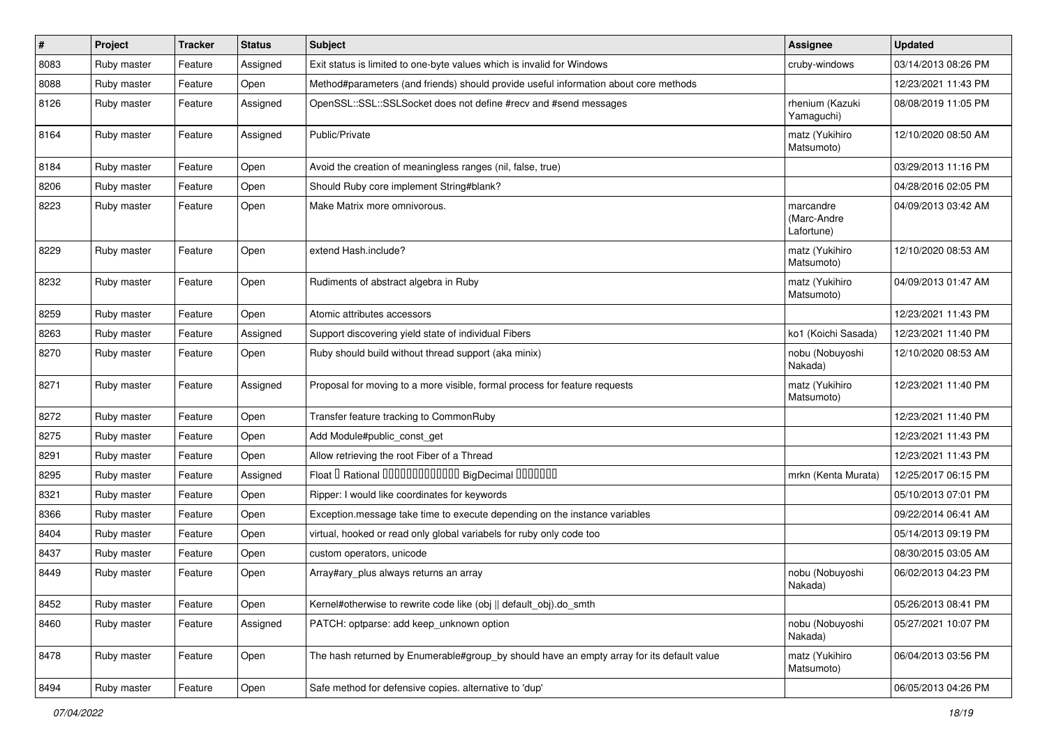| $\vert$ # | Project     | <b>Tracker</b> | <b>Status</b> | Subject                                                                                   | <b>Assignee</b>                        | <b>Updated</b>      |
|-----------|-------------|----------------|---------------|-------------------------------------------------------------------------------------------|----------------------------------------|---------------------|
| 8083      | Ruby master | Feature        | Assigned      | Exit status is limited to one-byte values which is invalid for Windows                    | cruby-windows                          | 03/14/2013 08:26 PM |
| 8088      | Ruby master | Feature        | Open          | Method#parameters (and friends) should provide useful information about core methods      |                                        | 12/23/2021 11:43 PM |
| 8126      | Ruby master | Feature        | Assigned      | OpenSSL::SSL::SSLSocket does not define #recv and #send messages                          | rhenium (Kazuki<br>Yamaguchi)          | 08/08/2019 11:05 PM |
| 8164      | Ruby master | Feature        | Assigned      | Public/Private                                                                            | matz (Yukihiro<br>Matsumoto)           | 12/10/2020 08:50 AM |
| 8184      | Ruby master | Feature        | Open          | Avoid the creation of meaningless ranges (nil, false, true)                               |                                        | 03/29/2013 11:16 PM |
| 8206      | Ruby master | Feature        | Open          | Should Ruby core implement String#blank?                                                  |                                        | 04/28/2016 02:05 PM |
| 8223      | Ruby master | Feature        | Open          | Make Matrix more omnivorous.                                                              | marcandre<br>(Marc-Andre<br>Lafortune) | 04/09/2013 03:42 AM |
| 8229      | Ruby master | Feature        | Open          | extend Hash.include?                                                                      | matz (Yukihiro<br>Matsumoto)           | 12/10/2020 08:53 AM |
| 8232      | Ruby master | Feature        | Open          | Rudiments of abstract algebra in Ruby                                                     | matz (Yukihiro<br>Matsumoto)           | 04/09/2013 01:47 AM |
| 8259      | Ruby master | Feature        | Open          | Atomic attributes accessors                                                               |                                        | 12/23/2021 11:43 PM |
| 8263      | Ruby master | Feature        | Assigned      | Support discovering yield state of individual Fibers                                      | ko1 (Koichi Sasada)                    | 12/23/2021 11:40 PM |
| 8270      | Ruby master | Feature        | Open          | Ruby should build without thread support (aka minix)                                      | nobu (Nobuyoshi<br>Nakada)             | 12/10/2020 08:53 AM |
| 8271      | Ruby master | Feature        | Assigned      | Proposal for moving to a more visible, formal process for feature requests                | matz (Yukihiro<br>Matsumoto)           | 12/23/2021 11:40 PM |
| 8272      | Ruby master | Feature        | Open          | Transfer feature tracking to CommonRuby                                                   |                                        | 12/23/2021 11:40 PM |
| 8275      | Ruby master | Feature        | Open          | Add Module#public_const_get                                                               |                                        | 12/23/2021 11:43 PM |
| 8291      | Ruby master | Feature        | Open          | Allow retrieving the root Fiber of a Thread                                               |                                        | 12/23/2021 11:43 PM |
| 8295      | Ruby master | Feature        | Assigned      | Float I Rational IIIIIIIIIIIIIIIIIII BigDecimal IIIIIIIIII                                | mrkn (Kenta Murata)                    | 12/25/2017 06:15 PM |
| 8321      | Ruby master | Feature        | Open          | Ripper: I would like coordinates for keywords                                             |                                        | 05/10/2013 07:01 PM |
| 8366      | Ruby master | Feature        | Open          | Exception.message take time to execute depending on the instance variables                |                                        | 09/22/2014 06:41 AM |
| 8404      | Ruby master | Feature        | Open          | virtual, hooked or read only global variabels for ruby only code too                      |                                        | 05/14/2013 09:19 PM |
| 8437      | Ruby master | Feature        | Open          | custom operators, unicode                                                                 |                                        | 08/30/2015 03:05 AM |
| 8449      | Ruby master | Feature        | Open          | Array#ary_plus always returns an array                                                    | nobu (Nobuyoshi<br>Nakada)             | 06/02/2013 04:23 PM |
| 8452      | Ruby master | Feature        | Open          | Kernel#otherwise to rewrite code like (obj    default obj).do smth                        |                                        | 05/26/2013 08:41 PM |
| 8460      | Ruby master | Feature        | Assigned      | PATCH: optparse: add keep unknown option                                                  | nobu (Nobuyoshi<br>Nakada)             | 05/27/2021 10:07 PM |
| 8478      | Ruby master | Feature        | Open          | The hash returned by Enumerable#group_by should have an empty array for its default value | matz (Yukihiro<br>Matsumoto)           | 06/04/2013 03:56 PM |
| 8494      | Ruby master | Feature        | Open          | Safe method for defensive copies. alternative to 'dup'                                    |                                        | 06/05/2013 04:26 PM |